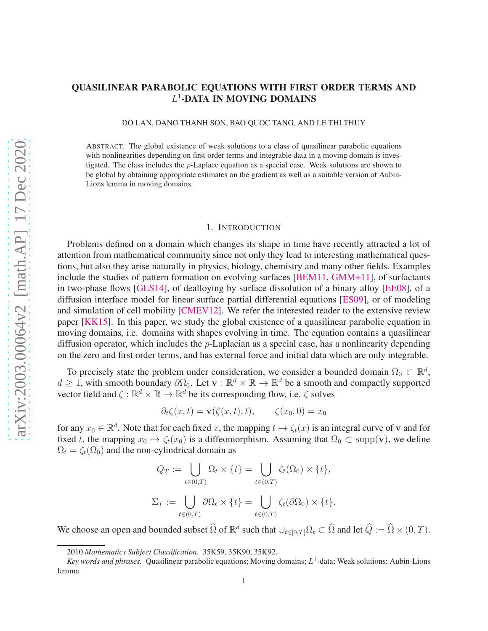# QUASILINEAR PARABOLIC EQUATIONS WITH FIRST ORDER TERMS AND L 1 -DATA IN MOVING DOMAINS

DO LAN, DANG THANH SON, BAO QUOC TANG, AND LE THI THUY

ABSTRACT. The global existence of weak solutions to a class of quasilinear parabolic equations with nonlinearities depending on first order terms and integrable data in a moving domain is investigated. The class includes the p-Laplace equation as a special case. Weak solutions are shown to be global by obtaining appropriate estimates on the gradient as well as a suitable version of Aubin-Lions lemma in moving domains.

### 1. INTRODUCTION

Problems defined on a domain which changes its shape in time have recently attracted a lot of attention from mathematical community since not only they lead to interesting mathematical questions, but also they arise naturally in physics, biology, chemistry and many other fields. Examples include the studies of pattern formation on evolving surfaces [\[BEM11,](#page-29-0) [GMM+11\]](#page-29-1), of surfactants in two-phase flows [\[GLS14\]](#page-29-2), of dealloying by surface dissolution of a binary alloy [\[EE08\]](#page-29-3), of a diffusion interface model for linear surface partial differential equations [\[ES09\]](#page-29-4), or of modeling and simulation of cell mobility [\[CMEV12\]](#page-29-5). We refer the interested reader to the extensive review paper [\[KK15\]](#page-29-6). In this paper, we study the global existence of a quasilinear parabolic equation in moving domains, i.e. domains with shapes evolving in time. The equation contains a quasilinear diffusion operator, which includes the  $p$ -Laplacian as a special case, has a nonlinearity depending on the zero and first order terms, and has external force and initial data which are only integrable.

To precisely state the problem under consideration, we consider a bounded domain  $\Omega_0 \subset \mathbb{R}^d$ ,  $d \geq 1$ , with smooth boundary  $\partial \Omega_0$ . Let  $\mathbf{v} : \mathbb{R}^d \times \mathbb{R} \to \mathbb{R}^d$  be a smooth and compactly supported vector field and  $\zeta : \mathbb{R}^d \times \mathbb{R} \to \mathbb{R}^d$  be its corresponding flow, i.e.  $\zeta$  solves

$$
\partial_t \zeta(x,t) = \mathbf{v}(\zeta(x,t),t), \qquad \zeta(x_0,0) = x_0
$$

for any  $x_0 \in \mathbb{R}^d$ . Note that for each fixed x, the mapping  $t \mapsto \zeta_t(x)$  is an integral curve of v and for fixed t, the mapping  $x_0 \mapsto \zeta_t(x_0)$  is a diffeomorphism. Assuming that  $\Omega_0 \subset \text{supp}(\mathbf{v})$ , we define  $\Omega_t = \zeta_t(\Omega_0)$  and the non-cylindrical domain as

$$
Q_T := \bigcup_{t \in (0,T)} \Omega_t \times \{t\} = \bigcup_{t \in (0,T)} \zeta_t(\Omega_0) \times \{t\},
$$
  

$$
\Sigma_T := \bigcup_{t \in (0,T)} \partial \Omega_t \times \{t\} = \bigcup_{t \in (0,T)} \zeta_t(\partial \Omega_0) \times \{t\}.
$$

We choose an open and bounded subset  $\widehat{\Omega}$  of  $\mathbb{R}^d$  such that  $\cup_{t\in[0,T]}\Omega_t\subset\widehat{\Omega}$  and let  $\widehat{Q}:=\widehat{\Omega}\times(0,T)$ .

<sup>2010</sup> *Mathematics Subject Classification.* 35K59, 35K90, 35K92.

Key words and phrases. Quasilinear parabolic equations; Moving domains;  $L^1$ -data; Weak solutions; Aubin-Lions lemma.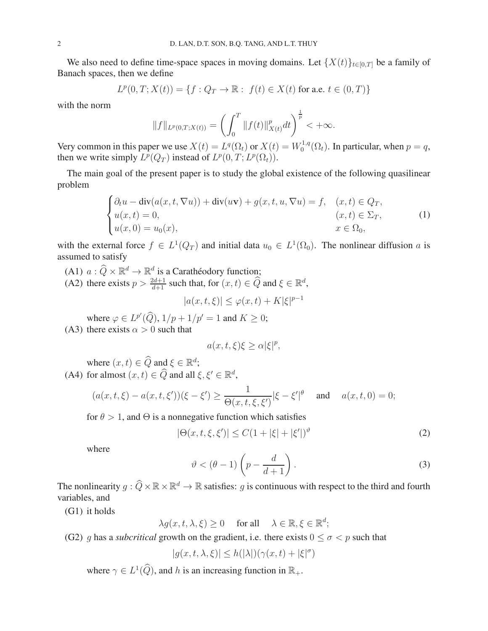We also need to define time-space spaces in moving domains. Let  $\{X(t)\}_{t\in[0,T]}$  be a family of Banach spaces, then we define

$$
L^p(0,T;X(t)) = \{ f : Q_T \to \mathbb{R} : f(t) \in X(t) \text{ for a.e. } t \in (0,T) \}
$$

with the norm

$$
||f||_{L^{p}(0,T;X(t))} = \left(\int_0^T ||f(t)||_{X(t)}^p dt\right)^{\frac{1}{p}} < +\infty.
$$

Very common in this paper we use  $X(t) = L^q(\Omega_t)$  or  $X(t) = W_0^{1,q}$  $\mathcal{O}_0^{1,q}(\Omega_t)$ . In particular, when  $p = q$ , then we write simply  $L^p(Q_T)$  instead of  $L^p(0,T; L^p(\Omega_t))$ .

The main goal of the present paper is to study the global existence of the following quasilinear problem

<span id="page-1-4"></span>
$$
\begin{cases}\n\partial_t u - \operatorname{div}(a(x, t, \nabla u)) + \operatorname{div}(u\mathbf{v}) + g(x, t, u, \nabla u) = f, & (x, t) \in Q_T, \\
u(x, t) = 0, & (x, t) \in \Sigma_T, \\
u(x, 0) = u_0(x), & x \in \Omega_0,\n\end{cases}
$$
\n(1)

with the external force  $f \in L^1(Q_T)$  and initial data  $u_0 \in L^1(\Omega_0)$ . The nonlinear diffusion a is assumed to satisfy

- <span id="page-1-5"></span><span id="page-1-0"></span>(A1)  $a: \widehat{Q} \times \mathbb{R}^d \to \mathbb{R}^d$  is a Carathéodory function;
- (A2) there exists  $p > \frac{2d+1}{d+1}$  such that, for  $(x, t) \in \widehat{Q}$  and  $\xi \in \mathbb{R}^d$ ,

$$
|a(x,t,\xi)| \le \varphi(x,t) + K|\xi|^{p-1}
$$

<span id="page-1-6"></span>where  $\varphi \in L^{p'}(\widehat{Q}), 1/p + 1/p' = 1$  and  $K \geq 0$ ; (A3) there exists  $\alpha > 0$  such that

$$
a(x,t,\xi)\xi \ge \alpha |\xi|^p,
$$

<span id="page-1-1"></span>where  $(x, t) \in \widehat{Q}$  and  $\xi \in \mathbb{R}^d$ ; (A4) for almost  $(x, t) \in \widehat{Q}$  and all  $\xi, \xi' \in \mathbb{R}^d$ ,

$$
(a(x,t,\xi) - a(x,t,\xi'))(\xi - \xi') \ge \frac{1}{\Theta(x,t,\xi,\xi')}|\xi - \xi'|^{\theta} \text{ and } a(x,t,0) = 0;
$$

for  $\theta > 1$ , and  $\Theta$  is a nonnegative function which satisfies

<span id="page-1-7"></span>
$$
|\Theta(x, t, \xi, \xi')| \le C(1 + |\xi| + |\xi'|)^{\vartheta}
$$
 (2)

where

<span id="page-1-8"></span>
$$
\vartheta < (\theta - 1) \left( p - \frac{d}{d+1} \right). \tag{3}
$$

The nonlinearity  $g: \widehat{Q}\times\mathbb{R}\times\mathbb{R}^d\to\mathbb{R}$  satisfies: g is continuous with respect to the third and fourth variables, and

<span id="page-1-3"></span>(G1) it holds

 $\lambda g(x, t, \lambda, \xi) \ge 0$  for all  $\lambda \in \mathbb{R}, \xi \in \mathbb{R}^d$ ;

<span id="page-1-2"></span>(G2) g has a *subcritical* growth on the gradient, i.e. there exists  $0 \le \sigma < p$  such that

$$
|g(x,t,\lambda,\xi)| \leq h(|\lambda|)(\gamma(x,t)+|\xi|^\sigma)
$$

where  $\gamma \in L^1(\widehat{Q})$ , and h is an increasing function in  $\mathbb{R}_+$ .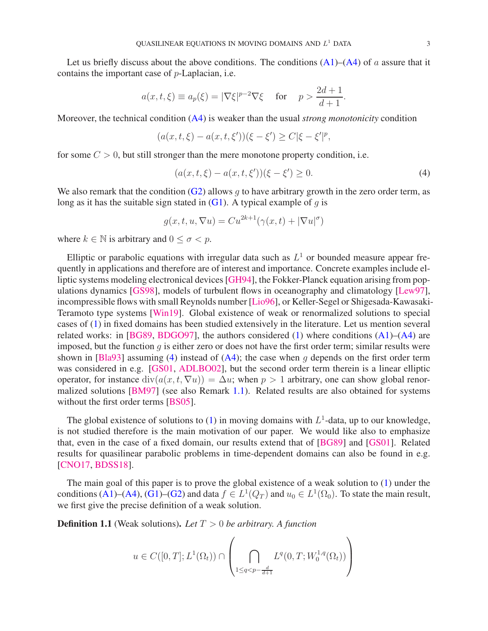Let us briefly discuss about the above conditions. The conditions  $(A1)$ – $(A4)$  of a assure that it contains the important case of p-Laplacian, i.e.

$$
a(x, t, \xi) \equiv a_p(\xi) = |\nabla \xi|^{p-2} \nabla \xi
$$
 for  $p > \frac{2d+1}{d+1}$ .

Moreover, the technical condition [\(A4\)](#page-1-1) is weaker than the usual *strong monotonicity* condition

$$
(a(x, t, \xi) - a(x, t, \xi'))(\xi - \xi') \ge C|\xi - \xi'|^p,
$$

for some  $C > 0$ , but still stronger than the mere monotone property condition, i.e.

<span id="page-2-0"></span>
$$
(a(x, t, \xi) - a(x, t, \xi'))(\xi - \xi') \ge 0.
$$
\n(4)

We also remark that the condition  $(G2)$  allows g to have arbitrary growth in the zero order term, as long as it has the suitable sign stated in  $(G1)$ . A typical example of q is

$$
g(x, t, u, \nabla u) = Cu^{2k+1}(\gamma(x, t) + |\nabla u|^{\sigma})
$$

where  $k \in \mathbb{N}$  is arbitrary and  $0 \leq \sigma \leq p$ .

Elliptic or parabolic equations with irregular data such as  $L^1$  or bounded measure appear frequently in applications and therefore are of interest and importance. Concrete examples include elliptic systems modeling electronical devices [\[GH94\]](#page-29-7), the Fokker-Planck equation arising from populations dynamics [\[GS98\]](#page-29-8), models of turbulent flows in oceanography and climatology [\[Lew97\]](#page-29-9), incompressible flows with small Reynolds number [\[Lio96\]](#page-29-10), or Keller-Segel or Shigesada-Kawasaki-Teramoto type systems [\[Win19\]](#page-30-0). Global existence of weak or renormalized solutions to special cases of [\(1\)](#page-1-4) in fixed domains has been studied extensively in the literature. Let us mention several related works: in [\[BG89,](#page-29-11) [BDGO97\]](#page-29-12), the authors considered  $(1)$  where conditions  $(A1)$ – $(A4)$  are imposed, but the function  $q$  is either zero or does not have the first order term; similar results were shown in [\[Bla93\]](#page-29-13) assuming [\(4\)](#page-2-0) instead of  $(A4)$ ; the case when q depends on the first order term was considered in e.g. [\[GS01,](#page-29-14) [ADLBO02\]](#page-28-0), but the second order term therein is a linear elliptic operator, for instance  $div(a(x, t, \nabla u)) = \Delta u$ ; when  $p > 1$  arbitrary, one can show global renormalized solutions [\[BM97\]](#page-29-15) (see also Remark [1.1\)](#page-3-0). Related results are also obtained for systems without the first order terms [\[BS05\]](#page-29-16).

The global existence of solutions to [\(1\)](#page-1-4) in moving domains with  $L^1$ -data, up to our knowledge, is not studied therefore is the main motivation of our paper. We would like also to emphasize that, even in the case of a fixed domain, our results extend that of [\[BG89\]](#page-29-11) and [\[GS01\]](#page-29-14). Related results for quasilinear parabolic problems in time-dependent domains can also be found in e.g. [\[CNO17,](#page-29-17) [BDSS18\]](#page-29-18).

The main goal of this paper is to prove the global existence of a weak solution to [\(1\)](#page-1-4) under the conditions [\(A1\)](#page-1-0)–[\(A4\)](#page-1-1), [\(G1\)](#page-1-3)–[\(G2\)](#page-1-2) and data  $f \in L^1(Q_T)$  and  $u_0 \in L^1(\Omega_0)$ . To state the main result, we first give the precise definition of a weak solution.

<span id="page-2-1"></span>Definition 1.1 (Weak solutions). *Let* T > 0 *be arbitrary. A function*

$$
u \in C([0, T]; L^{1}(\Omega_{t})) \cap \left( \bigcap_{1 \leq q < p - \frac{d}{d+1}} L^{q}(0, T; W_{0}^{1,q}(\Omega_{t})) \right)
$$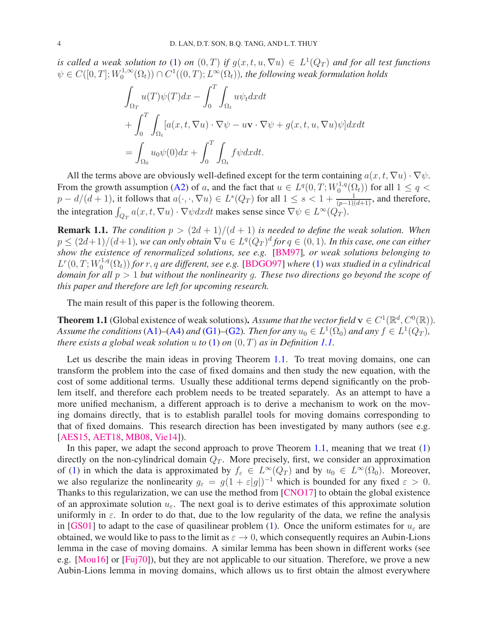*is called a weak solution to* [\(1\)](#page-1-4) *on*  $(0, T)$  *if*  $g(x, t, u, \nabla u) \in L^1(Q_T)$  *and for all test functions*  $\psi \in C([0, T]; W_0^{1, \infty})$  $\mathcal{O}_0^{1,\infty}(\Omega_t))\cap C^1((0,T);L^\infty(\Omega_t)),$  the following weak formulation holds

$$
\int_{\Omega_T} u(T)\psi(T)dx - \int_0^T \int_{\Omega_t} u\psi_t dxdt \n+ \int_0^T \int_{\Omega_t} [a(x, t, \nabla u) \cdot \nabla \psi - u\mathbf{v} \cdot \nabla \psi + g(x, t, u, \nabla u)\psi] dxdt \n= \int_{\Omega_0} u_0 \psi(0) dx + \int_0^T \int_{\Omega_t} f\psi dxdt.
$$

All the terms above are obviously well-defined except for the term containing  $a(x, t, \nabla u) \cdot \nabla \psi$ . From the growth assumption [\(A2\)](#page-1-5) of a, and the fact that  $u \in L^q(0,T;W_0^{1,q})$  $\binom{q_1,q}{0}$  for all  $1 \leq q <$  $p-d/(d+1)$ , it follows that  $a(\cdot,\cdot,\nabla u) \in L^s(Q_T)$  for all  $1 \leq s < 1+\frac{1}{(p-1)(d+1)}$ , and therefore, the integration  $\int_{Q_T} a(x, t, \nabla u) \cdot \nabla \psi dx dt$  makes sense since  $\nabla \psi \in L^{\infty}(Q_T)$ .

<span id="page-3-0"></span>**Remark 1.1.** *The condition*  $p > (2d + 1)/(d + 1)$  *is needed to define the weak solution. When*  $p \leq (2d+1)/(d+1)$ , we can only obtain  $\nabla u \in L^{q}(Q_{T})^{d}$  for  $q \in (0,1)$ . In this case, one can either *show the existence of renormalized solutions, see e.g.* [\[BM97\]](#page-29-15)*, or weak solutions belonging to*  $L^r(0,T;W_0^{1,q})$  $\binom{0}{0}$  for r, q are different, see e.g. [\[BDGO97\]](#page-29-12) where [\(1\)](#page-1-4) was studied in a cylindrical *domain for all* p > 1 *but without the nonlinearity* g*. These two directions go beyond the scope of this paper and therefore are left for upcoming research.*

The main result of this paper is the following theorem.

<span id="page-3-1"></span>**Theorem 1.1** (Global existence of weak solutions). Assume that the vector field  $\mathbf{v} \in C^1(\mathbb{R}^d, C^0(\mathbb{R}))$ . *Assume the conditions* [\(A1\)](#page-1-0)–[\(A4\)](#page-1-1) *and* [\(G1\)](#page-1-3)–[\(G2\)](#page-1-2). *Then for any*  $u_0 \in L^1(\Omega_0)$  *and any*  $f \in L^1(Q_T)$ , *there exists a global weak solution*  $u$  *to* [\(1\)](#page-1-4) *on*  $(0, T)$  *as in Definition [1.1.](#page-2-1)* 

Let us describe the main ideas in proving Theorem [1.1.](#page-3-1) To treat moving domains, one can transform the problem into the case of fixed domains and then study the new equation, with the cost of some additional terms. Usually these additional terms depend significantly on the problem itself, and therefore each problem needs to be treated separately. As an attempt to have a more unified mechanism, a different approach is to derive a mechanism to work on the moving domains directly, that is to establish parallel tools for moving domains corresponding to that of fixed domains. This research direction has been investigated by many authors (see e.g. [\[AES15,](#page-28-1) [AET18,](#page-28-2) [MB08,](#page-29-19) [Vie14\]](#page-29-20)).

In this paper, we adapt the second approach to prove Theorem [1.1,](#page-3-1) meaning that we treat  $(1)$ directly on the non-cylindrical domain  $Q_T$ . More precisely, first, we consider an approximation of [\(1\)](#page-1-4) in which the data is approximated by  $f_{\varepsilon} \in L^{\infty}(Q_T)$  and by  $u_0 \in L^{\infty}(\Omega_0)$ . Moreover, we also regularize the nonlinearity  $g_{\varepsilon} = g(1 + \varepsilon |g|)^{-1}$  which is bounded for any fixed  $\varepsilon > 0$ . Thanks to this regularization, we can use the method from [\[CNO17\]](#page-29-17) to obtain the global existence of an approximate solution  $u_{\varepsilon}$ . The next goal is to derive estimates of this approximate solution uniformly in  $\varepsilon$ . In order to do that, due to the low regularity of the data, we refine the analysis in [\[GS01\]](#page-29-14) to adapt to the case of quasilinear problem [\(1\)](#page-1-4). Once the uniform estimates for  $u_{\varepsilon}$  are obtained, we would like to pass to the limit as  $\varepsilon \to 0$ , which consequently requires an Aubin-Lions lemma in the case of moving domains. A similar lemma has been shown in different works (see e.g. [\[Mou16\]](#page-29-21) or [\[Fuj70\]](#page-29-22)), but they are not applicable to our situation. Therefore, we prove a new Aubin-Lions lemma in moving domains, which allows us to first obtain the almost everywhere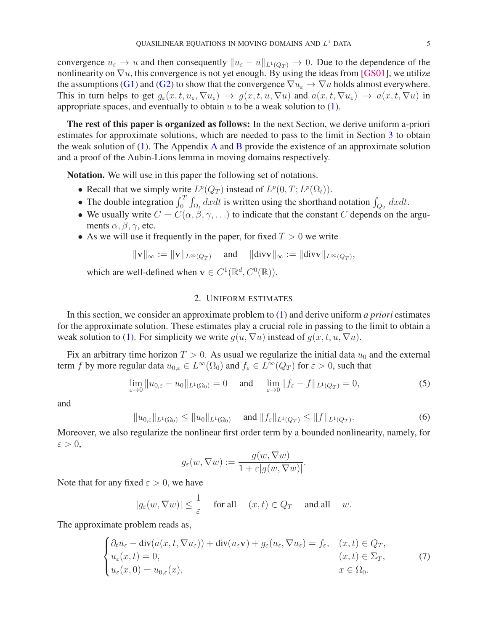convergence  $u_{\varepsilon} \to u$  and then consequently  $||u_{\varepsilon} - u||_{L^1(Q_T)} \to 0$ . Due to the dependence of the nonlinearity on  $\nabla u$ , this convergence is not yet enough. By using the ideas from [\[GS01\]](#page-29-14), we utilize the assumptions [\(G1\)](#page-1-3) and [\(G2\)](#page-1-2) to show that the convergence  $\nabla u_{\varepsilon} \to \nabla u$  holds almost everywhere. This in turn helps to get  $g_{\varepsilon}(x, t, u_{\varepsilon}, \nabla u_{\varepsilon}) \to g(x, t, u, \nabla u)$  and  $a(x, t, \nabla u_{\varepsilon}) \to a(x, t, \nabla u)$  in appropriate spaces, and eventually to obtain  $u$  to be a weak solution to [\(1\)](#page-1-4).

The rest of this paper is organized as follows: In the next Section, we derive uniform a-priori estimates for approximate solutions, which are needed to pass to the limit in Section [3](#page-14-0) to obtain the weak solution of  $(1)$ . The [A](#page-22-0)ppendix A and [B](#page-27-0) provide the existence of an approximate solution and a proof of the Aubin-Lions lemma in moving domains respectively.

Notation. We will use in this paper the following set of notations.

- Recall that we simply write  $L^p(Q_T)$  instead of  $L^p(0,T; L^p(\Omega_t))$ .
- The double integration  $\int_0^T \int_{\Omega_t} dx dt$  is written using the shorthand notation  $\int_{Q_T} dx dt$ .
- We usually write  $C = C(\alpha, \beta, \gamma, \ldots)$  to indicate that the constant C depends on the arguments  $\alpha$ ,  $\beta$ ,  $\gamma$ , etc.
- As we will use it frequently in the paper, for fixed  $T > 0$  we write

$$
\|\mathbf{v}\|_\infty:=\|\mathbf{v}\|_{L^\infty(Q_T)}\quad \text{ and }\quad \|\mathrm{div}\mathbf{v}\|_\infty:=\|\mathrm{div}\mathbf{v}\|_{L^\infty(Q_T)},
$$

which are well-defined when  $\mathbf{v} \in C^1(\mathbb{R}^d, C^0(\mathbb{R}))$ .

# 2. UNIFORM ESTIMATES

<span id="page-4-2"></span>In this section, we consider an approximate problem to [\(1\)](#page-1-4) and derive uniform *a priori* estimates for the approximate solution. These estimates play a crucial role in passing to the limit to obtain a weak solution to [\(1\)](#page-1-4). For simplicity we write  $g(u, \nabla u)$  instead of  $g(x, t, u, \nabla u)$ .

Fix an arbitrary time horizon  $T > 0$ . As usual we regularize the initial data  $u_0$  and the external term f by more regular data  $u_{0,\varepsilon} \in L^{\infty}(\Omega_0)$  and  $f_{\varepsilon} \in L^{\infty}(Q_T)$  for  $\varepsilon > 0$ , such that

<span id="page-4-3"></span>
$$
\lim_{\varepsilon \to 0} \|u_{0,\varepsilon} - u_0\|_{L^1(\Omega_0)} = 0 \quad \text{and} \quad \lim_{\varepsilon \to 0} \|f_{\varepsilon} - f\|_{L^1(Q_T)} = 0,
$$
\n(5)

and

<span id="page-4-1"></span>
$$
||u_{0,\varepsilon}||_{L^{1}(\Omega_{0})} \leq ||u_{0}||_{L^{1}(\Omega_{0})} \quad \text{ and } ||f_{\varepsilon}||_{L^{1}(Q_{T})} \leq ||f||_{L^{1}(Q_{T})}.
$$
 (6)

Moreover, we also regularize the nonlinear first order term by a bounded nonlinearity, namely, for  $\varepsilon > 0$ ,

$$
g_{\varepsilon}(w, \nabla w) := \frac{g(w, \nabla w)}{1 + \varepsilon |g(w, \nabla w)|}.
$$

Note that for any fixed  $\varepsilon > 0$ , we have

$$
|g_{\varepsilon}(w,\nabla w)| \leq \frac{1}{\varepsilon}
$$
 for all  $(x,t) \in Q_T$  and all w.

The approximate problem reads as,

<span id="page-4-0"></span>
$$
\begin{cases} \partial_t u_{\varepsilon} - \text{div}(a(x, t, \nabla u_{\varepsilon})) + \text{div}(u_{\varepsilon} \mathbf{v}) + g_{\varepsilon}(u_{\varepsilon}, \nabla u_{\varepsilon}) = f_{\varepsilon}, & (x, t) \in Q_T, \\ u_{\varepsilon}(x, t) = 0, & (x, t) \in \Sigma_T, \\ u_{\varepsilon}(x, 0) = u_{0, \varepsilon}(x), & x \in \Omega_0. \end{cases}
$$
(7)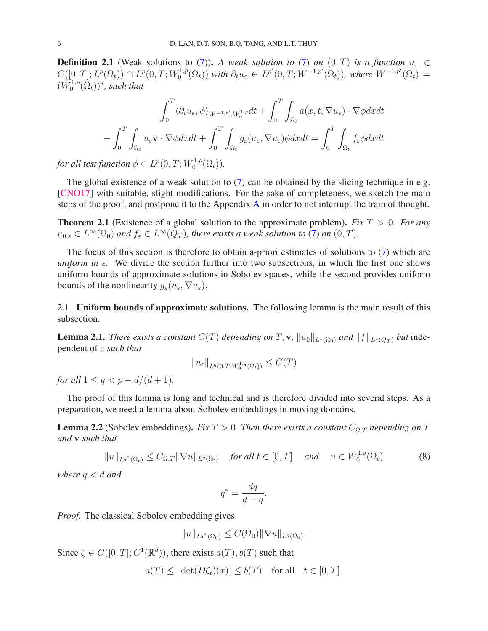**Definition 2.1** (Weak solutions to [\(7\)](#page-4-0)). *A weak solution to* (7) *on* (0, T) *is a function*  $u_{\epsilon} \in$  $C([0,T];L^p(\Omega_t)) \cap L^p(0,T;W_0^{1,p})$  $\mathcal{L}_0^{1,p}(\Omega_t)$ ) with  $\partial_t u_\varepsilon \in L^{p'}(0,T;W^{-1,p'}(\Omega_t)),$  where  $W^{-1,p'}(\Omega_t) =$  $(W^{1,p}_{0}$  $\chi_0^{1,p}(\Omega_t))$ <sup>\*</sup>, such that

$$
\int_0^T \langle \partial_t u_{\varepsilon}, \phi \rangle_{W^{-1,p'}, W_0^{1,p}} dt + \int_0^T \int_{\Omega_t} a(x, t, \nabla u_{\varepsilon}) \cdot \nabla \phi dx dt
$$

$$
- \int_0^T \int_{\Omega_t} u_{\varepsilon} \mathbf{v} \cdot \nabla \phi dx dt + \int_0^T \int_{\Omega_t} g_{\varepsilon}(u_{\varepsilon}, \nabla u_{\varepsilon}) \phi dx dt = \int_0^T \int_{\Omega_t} f_{\varepsilon} \phi dx dt
$$

for all test function  $\phi \in L^p(0,T;W_0^{1,p})$  $C_0^{1,p}(\Omega_t)$ .

The global existence of a weak solution to [\(7\)](#page-4-0) can be obtained by the slicing technique in e.g. [\[CNO17\]](#page-29-17) with suitable, slight modifications. For the sake of completeness, we sketch the main steps of the proof, and postpone it to the Appendix [A](#page-22-0) in order to not interrupt the train of thought.

<span id="page-5-3"></span>Theorem 2.1 (Existence of a global solution to the approximate problem). *Fix* T > 0*. For any*  $u_{0,\varepsilon} \in L^{\infty}(\Omega_0)$  and  $f_{\varepsilon} \in L^{\infty}(Q_T)$ , there exists a weak solution to [\(7\)](#page-4-0) on  $(0,T)$ .

The focus of this section is therefore to obtain a-priori estimates of solutions to [\(7\)](#page-4-0) which are *uniform in*  $\varepsilon$ . We divide the section further into two subsections, in which the first one shows uniform bounds of approximate solutions in Sobolev spaces, while the second provides uniform bounds of the nonlinearity  $g_{\varepsilon}(u_{\varepsilon}, \nabla u_{\varepsilon}).$ 

2.1. Uniform bounds of approximate solutions. The following lemma is the main result of this subsection.

<span id="page-5-2"></span>**Lemma 2.1.** *There exists a constant*  $C(T)$  *depending on* T, **v**,  $||u_0||_{L^1(\Omega_0)}$  *and*  $||f||_{L^1(O_T)}$  *but* independent of ε *such that*

$$
||u_{\varepsilon}||_{L^{q}(0,T;W_{0}^{1,q}(\Omega_{t}))} \leq C(T)
$$

*for all*  $1 \leq q \leq p - d/(d+1)$ *.* 

The proof of this lemma is long and technical and is therefore divided into several steps. As a preparation, we need a lemma about Sobolev embeddings in moving domains.

<span id="page-5-1"></span>**Lemma 2.2** (Sobolev embeddings). *Fix*  $T > 0$ . *Then there exists a constant*  $C_{\Omega,T}$  *depending on*  $T$ *and* v *such that*

<span id="page-5-0"></span>
$$
||u||_{L^{q^*}(\Omega_t)} \leq C_{\Omega,T} ||\nabla u||_{L^q(\Omega_t)} \quad \text{for all } t \in [0,T] \quad \text{and} \quad u \in W_0^{1,q}(\Omega_t) \tag{8}
$$

*where*  $q < d$  *and* 

$$
q^* = \frac{dq}{d-q}.
$$

*Proof.* The classical Sobolev embedding gives

$$
||u||_{L^{q^*}(\Omega_0)} \leq C(\Omega_0) ||\nabla u||_{L^q(\Omega_0)}.
$$

Since  $\zeta \in C([0, T]; C^1(\mathbb{R}^d))$ , there exists  $a(T)$ ,  $b(T)$  such that

$$
a(T) \le |\det(D\zeta_t)(x)| \le b(T) \quad \text{for all} \quad t \in [0, T].
$$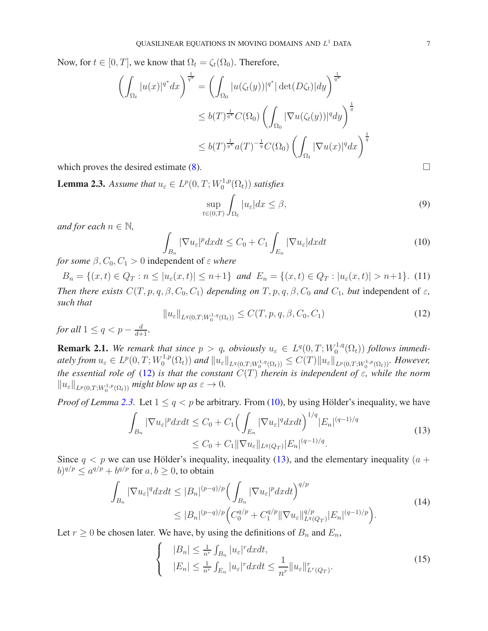Now, for  $t \in [0, T]$ , we know that  $\Omega_t = \zeta_t(\Omega_0)$ . Therefore,

$$
\left(\int_{\Omega_t} |u(x)|^{q^*} dx\right)^{\frac{1}{q^*}} = \left(\int_{\Omega_0} |u(\zeta_t(y))|^{q^*} |\det(D\zeta_t)| dy\right)^{\frac{1}{q^*}}
$$
  
\n
$$
\leq b(T)^{\frac{1}{q^*}} C(\Omega_0) \left(\int_{\Omega_0} |\nabla u(\zeta_t(y))|^q dy\right)^{\frac{1}{q}}
$$
  
\n
$$
\leq b(T)^{\frac{1}{q^*}} a(T)^{-\frac{1}{q}} C(\Omega_0) \left(\int_{\Omega_t} |\nabla u(x)|^q dx\right)^{\frac{1}{q}}
$$

which proves the desired estimate  $(8)$ .

<span id="page-6-1"></span>**Lemma 2.3.** Assume that  $u_{\varepsilon} \in L^p(0,T;W_0^{1,p})$  $C_0^{1,p}(\Omega_t))$  satisfies

<span id="page-6-6"></span>
$$
\sup_{t \in (0,T)} \int_{\Omega_t} |u_{\varepsilon}| dx \le \beta,
$$
\n(9)

*and for each*  $n \in \mathbb{N}$ ,

<span id="page-6-2"></span>
$$
\int_{B_n} |\nabla u_{\varepsilon}|^p dxdt \le C_0 + C_1 \int_{E_n} |\nabla u_{\varepsilon}| dxdt \tag{10}
$$

*for some*  $\beta$ ,  $C_0$ ,  $C_1 > 0$  independent of  $\varepsilon$  *where* 

<span id="page-6-7"></span> $B_n = \{(x, t) \in Q_T : n \leq |u_{\varepsilon}(x, t)| \leq n+1\}$  and  $E_n = \{(x, t) \in Q_T : |u_{\varepsilon}(x, t)| > n+1\}$ . (11) *Then there exists*  $C(T, p, q, \beta, C_0, C_1)$  *depending on*  $T, p, q, \beta, C_0$  *and*  $C_1$ *, but* independent of  $\varepsilon$ *, such that*

<span id="page-6-0"></span>
$$
||u_{\varepsilon}||_{L^{q}(0,T;W_{0}^{1,q}(\Omega_{t}))} \leq C(T,p,q,\beta,C_{0},C_{1})
$$
\n(12)

*for all*  $1 \leq q < p - \frac{d}{d+1}$ *.* 

**Remark 2.1.** We remark that since  $p > q$ , obviously  $u_{\varepsilon} \in L^q(0,T;W_0^{1,q}(\Omega_t))$  follows immedi- $\mathbf{0}$ ately from  $u_{\varepsilon} \in L^p(0,T;W_0^{1,p})$  $\int_0^{1,p}(\Omega_t))$  and  $\|u_{\varepsilon}\|_{L^q(0,T;W_0^{1,q}(\Omega_t))}\leq C(T)\|u_{\varepsilon}\|_{L^p(0,T;W_0^{1,p}(\Omega_t))}$ . However, *the essential role of* [\(12\)](#page-6-0) *is that the constant*  $C(T)$  *therein is independent of*  $\varepsilon$ *, while the norm*  $||u_{\varepsilon}||_{L^{p}(0,T;W_{0}^{1,p}(\Omega_{t}))}$  *might blow up as*  $\varepsilon \to 0$ *.* 

*Proof of Lemma* [2.3.](#page-6-1) Let  $1 \le q < p$  be arbitrary. From [\(10\)](#page-6-2), by using Hölder's inequality, we have

<span id="page-6-3"></span>
$$
\int_{B_n} |\nabla u_{\varepsilon}|^p dxdt \le C_0 + C_1 \Big( \int_{E_n} |\nabla u_{\varepsilon}|^q dxdt \Big)^{1/q} |E_n|^{(q-1)/q}
$$
\n
$$
\le C_0 + C_1 ||\nabla u_{\varepsilon}||_{L^q(Q_T)} |E_n|^{(q-1)/q}.
$$
\n(13)

Since  $q < p$  we can use Hölder's inequality, inequality [\(13\)](#page-6-3), and the elementary inequality ( $a +$  $(b)^{q/p} \le a^{q/p} + b^{q/p}$  for  $a, b \ge 0$ , to obtain

<span id="page-6-5"></span>
$$
\int_{B_n} |\nabla u_{\varepsilon}|^q dxdt \le |B_n|^{(p-q)/p} \Big( \int_{B_n} |\nabla u_{\varepsilon}|^p dxdt \Big)^{q/p} \le |B_n|^{(p-q)/p} \Big( C_0^{q/p} + C_1^{q/p} \|\nabla u_{\varepsilon}\|_{L^q(Q_T)}^{q/p} |E_n|^{(q-1)/p} \Big). \tag{14}
$$

Let  $r \geq 0$  be chosen later. We have, by using the definitions of  $B_n$  and  $E_n$ ,

<span id="page-6-4"></span>
$$
\begin{cases} \quad |B_n| \leq \frac{1}{n^r} \int_{B_n} |u_{\varepsilon}|^r dxdt, \\ \quad |E_n| \leq \frac{1}{n^r} \int_{E_n} |u_{\varepsilon}|^r dxdt \leq \frac{1}{n^r} \|u_{\varepsilon}\|_{L^r(Q_T)}^r. \end{cases} \tag{15}
$$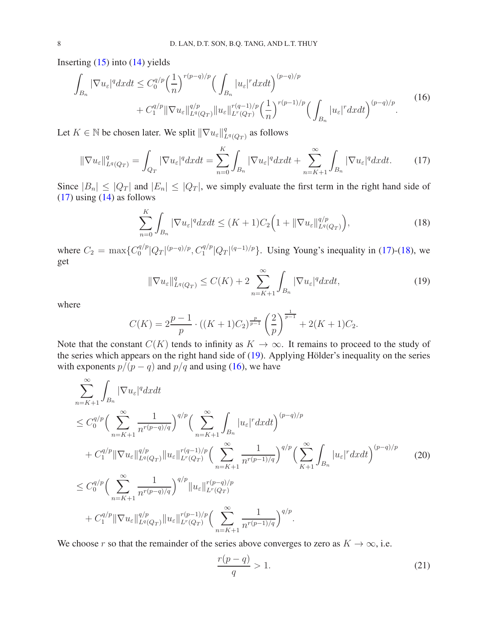Inserting  $(15)$  into  $(14)$  yields

<span id="page-7-3"></span>
$$
\int_{B_n} |\nabla u_{\varepsilon}|^q dxdt \leq C_0^{q/p} \left(\frac{1}{n}\right)^{r(p-q)/p} \left(\int_{B_n} |u_{\varepsilon}|^r dxdt\right)^{(p-q)/p} + C_1^{q/p} \|\nabla u_{\varepsilon}\|_{L^q(Q_T)}^{q/p} \|u_{\varepsilon}\|_{L^r(Q_T)}^{r(q-1)/p} \left(\frac{1}{n}\right)^{r(p-1)/p} \left(\int_{B_n} |u_{\varepsilon}|^r dxdt\right)^{(p-q)/p}.
$$
\n(16)

Let  $K \in \mathbb{N}$  be chosen later. We split  $\|\nabla u_{\varepsilon}\|_{I}^q$  $\frac{q}{L^q(Q_T )}$  as follows

<span id="page-7-0"></span>
$$
\|\nabla u_{\varepsilon}\|_{L^{q}(Q_{T})}^{q} = \int_{Q_{T}} |\nabla u_{\varepsilon}|^{q} dxdt = \sum_{n=0}^{K} \int_{B_{n}} |\nabla u_{\varepsilon}|^{q} dxdt + \sum_{n=K+1}^{\infty} \int_{B_{n}} |\nabla u_{\varepsilon}|^{q} dxdt. \tag{17}
$$

Since  $|B_n| \leq |Q_T|$  and  $|E_n| \leq |Q_T|$ , we simply evaluate the first term in the right hand side of [\(17\)](#page-7-0) using [\(14\)](#page-6-5) as follows

<span id="page-7-1"></span>
$$
\sum_{n=0}^{K} \int_{B_n} |\nabla u_{\varepsilon}|^q dx dt \le (K+1)C_2 \Big( 1 + \|\nabla u_{\varepsilon}\|_{L^q(Q_T)}^{q/p} \Big),\tag{18}
$$

where  $C_2 = \max\{C_0^{q/p}$  $\frac{q}{p} |Q_T|^{(p-q)/p}$ ,  $C_1^{q/p} |Q_T|^{(q-1)/p}$ . Using Young's inequality in [\(17\)](#page-7-0)-[\(18\)](#page-7-1), we get

<span id="page-7-2"></span>
$$
\|\nabla u_{\varepsilon}\|_{L^{q}(Q_{T})}^{q} \le C(K) + 2 \sum_{n=K+1}^{\infty} \int_{B_{n}} |\nabla u_{\varepsilon}|^{q} dxdt,
$$
\n(19)

where

$$
C(K) = 2\frac{p-1}{p} \cdot ((K+1)C_2)^{\frac{p}{p-1}} \left(\frac{2}{p}\right)^{\frac{1}{p-1}} + 2(K+1)C_2.
$$

Note that the constant  $C(K)$  tends to infinity as  $K \to \infty$ . It remains to proceed to the study of the series which appears on the right hand side of  $(19)$ . Applying Hölder's inequality on the series with exponents  $p/(p - q)$  and  $p/q$  and using [\(16\)](#page-7-3), we have

<span id="page-7-4"></span>
$$
\sum_{n=K+1}^{\infty} \int_{B_n} |\nabla u_{\varepsilon}|^q dxdt \n\leq C_0^{q/p} \Big( \sum_{n=K+1}^{\infty} \frac{1}{n^{r(p-q)/q}} \Big)^{q/p} \Big( \sum_{n=K+1}^{\infty} \int_{B_n} |u_{\varepsilon}|^r dxdt \Big)^{(p-q)/p} \n+ C_1^{q/p} ||\nabla u_{\varepsilon}||_{L^q(Q_T)}^{q/p} ||u_{\varepsilon}||_{L^r(Q_T)}^{r(q-1)/p} \Big( \sum_{n=K+1}^{\infty} \frac{1}{n^{r(p-1)/q}} \Big)^{q/p} \Big( \sum_{K+1}^{\infty} \int_{B_n} |u_{\varepsilon}|^r dxdt \Big)^{(p-q)/p} \n\leq C_0^{q/p} \Big( \sum_{n=K+1}^{\infty} \frac{1}{n^{r(p-q)/q}} \Big)^{q/p} ||u_{\varepsilon}||_{L^r(Q_T)}^{r(p-q)/p} \n+ C_1^{q/p} ||\nabla u_{\varepsilon}||_{L^q(Q_T)}^{q/p} ||u_{\varepsilon}||_{L^r(Q_T)}^{r(p-1)/p} \Big( \sum_{n=K+1}^{\infty} \frac{1}{n^{r(p-1)/q}} \Big)^{q/p}.
$$
\n(20)

We choose r so that the remainder of the series above converges to zero as  $K \to \infty$ , i.e.

<span id="page-7-5"></span>
$$
\frac{r(p-q)}{q} > 1. \tag{21}
$$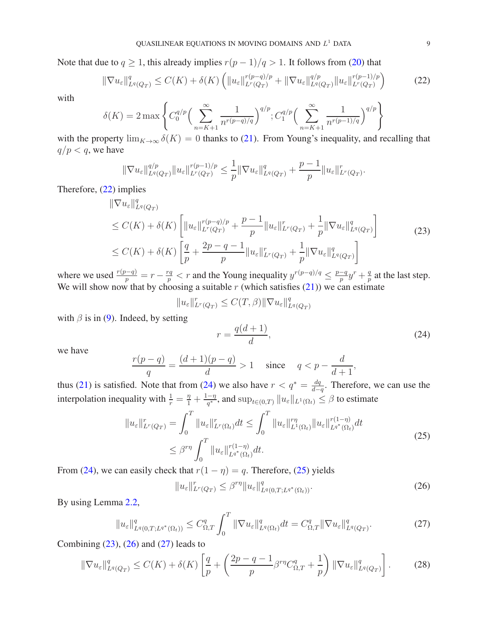Note that due to  $q \ge 1$ , this already implies  $r(p-1)/q > 1$ . It follows from [\(20\)](#page-7-4) that

<span id="page-8-0"></span>
$$
\|\nabla u_{\varepsilon}\|_{L^{q}(Q_{T})}^{q} \le C(K) + \delta(K) \left( \|u_{\varepsilon}\|_{L^{r}(Q_{T})}^{r(p-q)/p} + \|\nabla u_{\varepsilon}\|_{L^{q}(Q_{T})}^{q/p} \|u_{\varepsilon}\|_{L^{r}(Q_{T})}^{r(p-1)/p} \right) \tag{22}
$$

with

$$
\delta(K) = 2 \max \left\{ C_0^{q/p} \Big( \sum_{n=K+1}^{\infty} \frac{1}{n^{r(p-q)/q}} \Big)^{q/p}; C_1^{q/p} \Big( \sum_{n=K+1}^{\infty} \frac{1}{n^{r(p-1)/q}} \Big)^{q/p} \right\}
$$

with the property  $\lim_{K\to\infty} \delta(K) = 0$  thanks to [\(21\)](#page-7-5). From Young's inequality, and recalling that  $q/p < q$ , we have

$$
\|\nabla u_{\varepsilon}\|_{L^q(Q_T)}^{q/p}\|u_{\varepsilon}\|_{L^r(Q_T)}^{r(p-1)/p}\leq \frac{1}{p}\|\nabla u_{\varepsilon}\|_{L^q(Q_T)}^q+\frac{p-1}{p}\|u_{\varepsilon}\|_{L^r(Q_T)}^r.
$$

Therefore, [\(22\)](#page-8-0) implies

<span id="page-8-3"></span>
$$
\|\nabla u_{\varepsilon}\|_{L^{q}(Q_{T})}^{q} \n\leq C(K) + \delta(K) \left[ \|u_{\varepsilon}\|_{L^{r}(Q_{T})}^{r(p-q)/p} + \frac{p-1}{p} \|u_{\varepsilon}\|_{L^{r}(Q_{T})}^{r} + \frac{1}{p} \|\nabla u_{\varepsilon}\|_{L^{q}(Q_{T})}^{q} \right] \n\leq C(K) + \delta(K) \left[ \frac{q}{p} + \frac{2p-q-1}{p} \|u_{\varepsilon}\|_{L^{r}(Q_{T})}^{r} + \frac{1}{p} \|\nabla u_{\varepsilon}\|_{L^{q}(Q_{T})}^{q} \right]
$$
\n(23)

where we used  $\frac{r(p-q)}{p} = r - \frac{rq}{p}$  $\frac{rq}{p}$  < r and the Young inequality  $y^{r(p-q)/q} \leq \frac{p-q}{p}$  $\frac{-q}{p}y^r + \frac{q}{p}$  $\frac{q}{p}$  at the last step. We will show now that by choosing a suitable  $r$  (which satisfies  $(21)$ ) we can estimate

$$
||u_{\varepsilon}||_{L^{r}(Q_{T})}^{r} \leq C(T, \beta) ||\nabla u_{\varepsilon}||_{L^{q}(Q_{T})}^{q}
$$

with  $\beta$  is in [\(9\)](#page-6-6). Indeed, by setting

<span id="page-8-1"></span>
$$
r = \frac{q(d+1)}{d},\tag{24}
$$

,

we have

$$
\frac{r(p-q)}{q} = \frac{(d+1)(p-q)}{d} > 1 \quad \text{since} \quad q < p - \frac{d}{d+1}
$$

thus [\(21\)](#page-7-5) is satisfied. Note that from [\(24\)](#page-8-1) we also have  $r < q^* = \frac{dq}{d-q}$  $\frac{dq}{d-q}$ . Therefore, we can use the interpolation inequality with  $\frac{1}{r} = \frac{\eta}{1} + \frac{1-\eta}{q^*}$  $\frac{-\eta}{q^*}$ , and  $\sup_{t\in(0,T)}\|u_\varepsilon\|_{L^1(\Omega_t)}\leq\beta$  to estimate

<span id="page-8-2"></span>
$$
||u_{\varepsilon}||_{L^{r}(Q_{T})}^{r} = \int_{0}^{T} ||u_{\varepsilon}||_{L^{r}(\Omega_{t})}^{r} dt \leq \int_{0}^{T} ||u_{\varepsilon}||_{L^{1}(\Omega_{t})}^{r\eta} ||u_{\varepsilon}||_{L^{q^{*}}(\Omega_{t})}^{r(1-\eta)} dt
$$
  

$$
\leq \beta^{r\eta} \int_{0}^{T} ||u_{\varepsilon}||_{L^{q^{*}}(\Omega_{t})}^{r(1-\eta)} dt.
$$
 (25)

From [\(24\)](#page-8-1), we can easily check that  $r(1 - \eta) = q$ . Therefore, [\(25\)](#page-8-2) yields

<span id="page-8-4"></span>
$$
||u_{\varepsilon}||_{L^{r}(Q_{T})}^{r} \leq \beta^{r\eta}||u_{\varepsilon}||_{L^{q}(0,T;L^{q^{*}}(\Omega_{t}))}^{q}.
$$
\n(26)

By using Lemma [2.2,](#page-5-1)

<span id="page-8-5"></span>
$$
||u_{\varepsilon}||_{L^{q}(0,T;L^{q^{*}}(\Omega_{t}))}^{q} \leq C_{\Omega,T}^{q} \int_{0}^{T} ||\nabla u_{\varepsilon}||_{L^{q}(\Omega_{t})}^{q} dt = C_{\Omega,T}^{q} ||\nabla u_{\varepsilon}||_{L^{q}(Q_{T})}^{q}.
$$
 (27)

Combining  $(23)$ ,  $(26)$  and  $(27)$  leads to

<span id="page-8-6"></span>
$$
\|\nabla u_{\varepsilon}\|_{L^{q}(Q_{T})}^{q} \le C(K) + \delta(K) \left[\frac{q}{p} + \left(\frac{2p-q-1}{p}\beta^{r\eta}C_{\Omega,T}^{q} + \frac{1}{p}\right) \|\nabla u_{\varepsilon}\|_{L^{q}(Q_{T})}^{q}\right].
$$
 (28)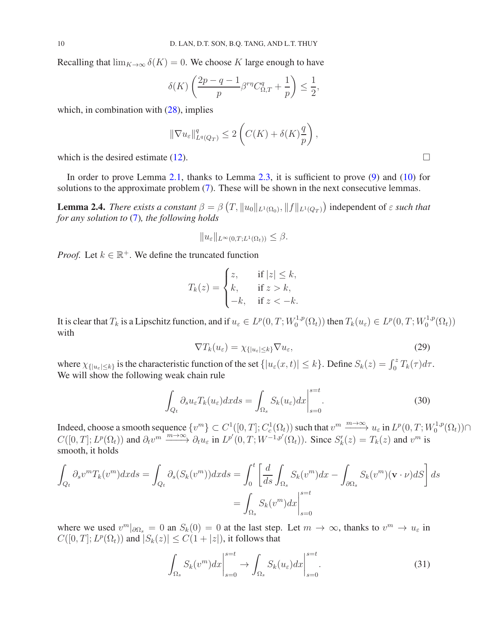Recalling that  $\lim_{K\to\infty} \delta(K) = 0$ . We choose K large enough to have

$$
\delta(K)\left(\frac{2p-q-1}{p}\beta^{r\eta}C_{\Omega,T}^q+\frac{1}{p}\right)\leq \frac{1}{2},
$$

which, in combination with  $(28)$ , implies

$$
\|\nabla u_{\varepsilon}\|_{L^q(Q_T)}^q \leq 2\left(C(K) + \delta(K)\frac{q}{p}\right),
$$

which is the desired estimate [\(12\)](#page-6-0).  $\Box$ 

In order to prove Lemma [2.1,](#page-5-2) thanks to Lemma [2.3,](#page-6-1) it is sufficient to prove [\(9\)](#page-6-6) and [\(10\)](#page-6-2) for solutions to the approximate problem [\(7\)](#page-4-0). These will be shown in the next consecutive lemmas.

<span id="page-9-3"></span>**Lemma 2.4.** *There exists a constant*  $\beta = \beta(T, ||u_0||_{L^1(\Omega_0)}, ||f||_{L^1(Q_T)})$  independent of  $\varepsilon$  *such that for any solution to* [\(7\)](#page-4-0)*, the following holds*

$$
||u_{\varepsilon}||_{L^{\infty}(0,T;L^{1}(\Omega_{t}))} \leq \beta.
$$

*Proof.* Let  $k \in \mathbb{R}^+$ . We define the truncated function

$$
T_k(z) = \begin{cases} z, & \text{if } |z| \le k, \\ k, & \text{if } z > k, \\ -k, & \text{if } z < -k. \end{cases}
$$

It is clear that  $T_k$  is a Lipschitz function, and if  $u_\varepsilon \in L^p(0,T;W_0^{1,p})$  $T_0^{1,p}(\Omega_t)$ ) then  $T_k(u_\varepsilon) \in L^p(0,T;W_0^{1,p})$  $\binom{1,p}{0}(\Omega_t)$ with

<span id="page-9-2"></span>
$$
\nabla T_k(u_\varepsilon) = \chi_{\{|u_\varepsilon| \le k\}} \nabla u_\varepsilon,\tag{29}
$$

where  $\chi_{\{|u_{\varepsilon}| \leq k\}}$  is the characteristic function of the set  $\{|u_{\varepsilon}(x,t)| \leq k\}$ . Define  $S_k(z) = \int_0^z T_k(\tau) d\tau$ . We will show the following weak chain rule

<span id="page-9-1"></span>
$$
\int_{Q_t} \partial_s u_{\varepsilon} T_k(u_{\varepsilon}) dx ds = \int_{\Omega_s} S_k(u_{\varepsilon}) dx \Big|_{s=0}^{s=t}.
$$
\n(30)

Indeed, choose a smooth sequence  $\{v^m\} \subset C^1([0,T]; C_c^1(\Omega_t))$  such that  $v^m \xrightarrow{m \to \infty} u_\varepsilon$  in  $L^p(0,T; W_0^{1,p})$  $\bigcap_{0}^{1,p}(\Omega_t)\big) \cap$  $C([0,T]; L^p(\Omega_t))$  and  $\partial_t v^m \xrightarrow{m \to \infty} \partial_t u_\varepsilon$  in  $L^{p'}(0,T; W^{-1,p'}(\Omega_t))$ . Since  $S'_k(z) = T_k(z)$  and  $v^m$  is smooth, it holds

$$
\int_{Q_t} \partial_s v^m T_k(v^m) dx ds = \int_{Q_t} \partial_s (S_k(v^m)) dx ds = \int_0^t \left[ \frac{d}{ds} \int_{\Omega_s} S_k(v^m) dx - \int_{\partial \Omega_s} S_k(v^m) (\mathbf{v} \cdot \nu) dS \right] ds
$$

$$
= \int_{\Omega_s} S_k(v^m) dx \Big|_{s=0}^{s=t}
$$

where we used  $v^m|_{\partial \Omega_s} = 0$  an  $S_k(0) = 0$  at the last step. Let  $m \to \infty$ , thanks to  $v^m \to u_\varepsilon$  in  $C([0, T]; L^p(\Omega_t))$  and  $|S_k(z)| \leq C(1 + |z|)$ , it follows that

<span id="page-9-0"></span>
$$
\int_{\Omega_s} S_k(v^m) dx \Big|_{s=0}^{s=t} \to \int_{\Omega_s} S_k(u_\varepsilon) dx \Big|_{s=0}^{s=t}.
$$
\n(31)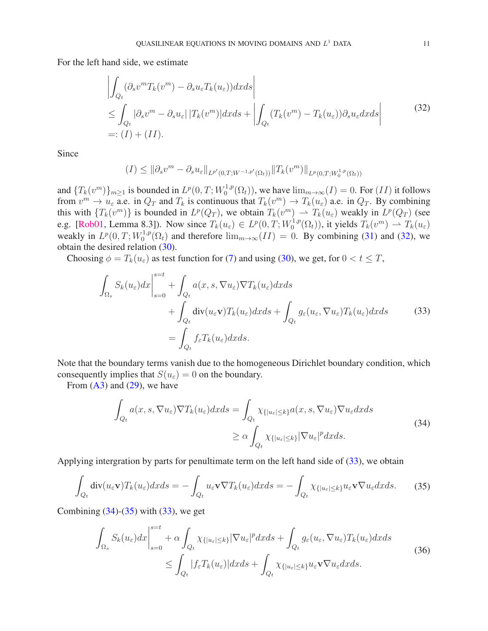For the left hand side, we estimate

<span id="page-10-0"></span>
$$
\left| \int_{Q_t} (\partial_s v^m T_k(v^m) - \partial_s u_\varepsilon T_k(u_\varepsilon)) dx ds \right|
$$
  
\n
$$
\leq \int_{Q_t} |\partial_s v^m - \partial_s u_\varepsilon| |T_k(v^m)| dx ds + \left| \int_{Q_t} (T_k(v^m) - T_k(u_\varepsilon)) \partial_s u_\varepsilon dx ds \right|
$$
(32)  
\n=: (I) + (II).

Since

$$
(I) \leq \|\partial_s v^m - \partial_s u_{\varepsilon}\|_{L^{p'}(0,T;W^{-1,p'}(\Omega_t))} \|T_k(v^m)\|_{L^p(0,T;W_0^{1,p}(\Omega_t))}
$$

and  ${T_k(v^m)}_{m\geq 1}$  is bounded in  $L^p(0,T;W_0^{1,p})$  $\lim_{n \to \infty} (I) = 0$ . For  $(II)$  it follows from  $v^m \to u_\varepsilon$  a.e. in  $Q_T$  and  $T_k$  is continuous that  $T_k(v^m) \to T_k(u_\varepsilon)$  a.e. in  $Q_T$ . By combining this with  $\{T_k(v^m)\}\$ is bounded in  $L^p(Q_T)$ , we obtain  $T_k(v^m) \rightharpoonup T_k(u_\varepsilon)$  weakly in  $L^p(Q_T)$  (see e.g. [\[Rob01,](#page-29-23) Lemma 8.3]). Now since  $T_k(u_\varepsilon) \in L^p(0,T;W_0^{1,p})$  $U_0^{1,p}(\Omega_t)$ , it yields  $T_k(v^m) \rightharpoonup T_k(u_\varepsilon)$ weakly in  $L^p(0, T; W_0^{1,p})$  $0_0^{\text{T,1},p}(\Omega_t)$  and therefore  $\lim_{m\to\infty}(II) = 0$ . By combining [\(31\)](#page-9-0) and [\(32\)](#page-10-0), we obtain the desired relation [\(30\)](#page-9-1).

Choosing  $\phi = T_k(u_\varepsilon)$  as test function for [\(7\)](#page-4-0) and using [\(30\)](#page-9-1), we get, for  $0 < t \leq T$ ,

<span id="page-10-1"></span>
$$
\int_{\Omega_s} S_k(u_{\varepsilon}) dx \Big|_{s=0}^{s=t} + \int_{Q_t} a(x, s, \nabla u_{\varepsilon}) \nabla T_k(u_{\varepsilon}) dx ds \n+ \int_{Q_t} \text{div}(u_{\varepsilon} \mathbf{v}) T_k(u_{\varepsilon}) dx ds + \int_{Q_t} g_{\varepsilon}(u_{\varepsilon}, \nabla u_{\varepsilon}) T_k(u_{\varepsilon}) dx ds \n= \int_{Q_t} f_{\varepsilon} T_k(u_{\varepsilon}) dx ds.
$$
\n(33)

Note that the boundary terms vanish due to the homogeneous Dirichlet boundary condition, which consequently implies that  $S(u_{\varepsilon}) = 0$  on the boundary.

From  $(A3)$  and  $(29)$ , we have

<span id="page-10-2"></span>
$$
\int_{Q_t} a(x, s, \nabla u_{\varepsilon}) \nabla T_k(u_{\varepsilon}) dx ds = \int_{Q_t} \chi_{\{|u_{\varepsilon}| \le k\}} a(x, s, \nabla u_{\varepsilon}) \nabla u_{\varepsilon} dx ds
$$
\n
$$
\ge \alpha \int_{Q_t} \chi_{\{|u_{\varepsilon}| \le k\}} |\nabla u_{\varepsilon}|^p dx ds. \tag{34}
$$

Applying intergration by parts for penultimate term on the left hand side of  $(33)$ , we obtain

<span id="page-10-3"></span>
$$
\int_{Q_t} \operatorname{div}(u_\varepsilon \mathbf{v}) T_k(u_\varepsilon) dx ds = - \int_{Q_t} u_\varepsilon \mathbf{v} \nabla T_k(u_\varepsilon) dx ds = - \int_{Q_t} \chi_{\{|u_\varepsilon| \le k\}} u_\varepsilon \mathbf{v} \nabla u_\varepsilon dx ds. \tag{35}
$$

Combining  $(34)-(35)$  $(34)-(35)$  $(34)-(35)$  with  $(33)$ , we get

<span id="page-10-4"></span>
$$
\int_{\Omega_{s}} S_{k}(u_{\varepsilon}) dx \Big|_{s=0}^{s=t} + \alpha \int_{Q_{t}} \chi_{\{|u_{\varepsilon}| \leq k\}} |\nabla u_{\varepsilon}|^{p} dx ds + \int_{Q_{t}} g_{\varepsilon}(u_{\varepsilon}, \nabla u_{\varepsilon}) T_{k}(u_{\varepsilon}) dx ds
$$
\n
$$
\leq \int_{Q_{t}} |f_{\varepsilon} T_{k}(u_{\varepsilon})| dx ds + \int_{Q_{t}} \chi_{\{|u_{\varepsilon}| \leq k\}} u_{\varepsilon} \nabla u_{\varepsilon} dx ds. \tag{36}
$$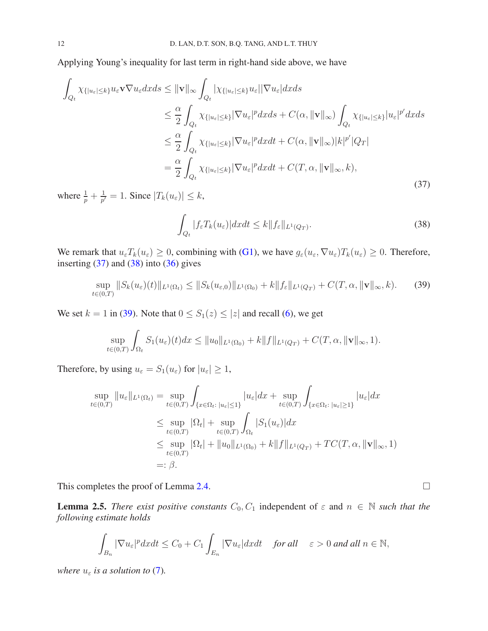Applying Young's inequality for last term in right-hand side above, we have

<span id="page-11-0"></span>
$$
\int_{Q_t} \chi_{\{|u_{\varepsilon}| \le k\}} u_{\varepsilon} \mathbf{v} \nabla u_{\varepsilon} dx ds \leq \|\mathbf{v}\|_{\infty} \int_{Q_t} |\chi_{\{|u_{\varepsilon}| \le k\}} u_{\varepsilon}| |\nabla u_{\varepsilon}| dx ds
$$
\n
$$
\leq \frac{\alpha}{2} \int_{Q_t} \chi_{\{|u_{\varepsilon}| \le k\}} |\nabla u_{\varepsilon}|^p dx ds + C(\alpha, \|\mathbf{v}\|_{\infty}) \int_{Q_t} \chi_{\{|u_{\varepsilon}| \le k\}} |u_{\varepsilon}|^{p'} dx ds
$$
\n
$$
\leq \frac{\alpha}{2} \int_{Q_t} \chi_{\{|u_{\varepsilon}| \le k\}} |\nabla u_{\varepsilon}|^p dx dt + C(\alpha, \|\mathbf{v}\|_{\infty}) |k|^{p'} |Q_T|
$$
\n
$$
= \frac{\alpha}{2} \int_{Q_t} \chi_{\{|u_{\varepsilon}| \le k\}} |\nabla u_{\varepsilon}|^p dx dt + C(T, \alpha, \|\mathbf{v}\|_{\infty}, k), \tag{37}
$$

where  $\frac{1}{p} + \frac{1}{p'}$  $\frac{1}{p'}=1$ . Since  $|T_k(u_\varepsilon)| \leq k$ ,

<span id="page-11-1"></span>
$$
\int_{Q_t} |f_{\varepsilon} T_k(u_{\varepsilon})| dx dt \le k \|f_{\varepsilon}\|_{L^1(Q_T)}.
$$
\n(38)

We remark that  $u_{\varepsilon}T_k(u_{\varepsilon}) \geq 0$ , combining with [\(G1\)](#page-1-3), we have  $g_{\varepsilon}(u_{\varepsilon}, \nabla u_{\varepsilon})T_k(u_{\varepsilon}) \geq 0$ . Therefore, inserting  $(37)$  and  $(38)$  into  $(36)$  gives

<span id="page-11-2"></span>
$$
\sup_{t \in (0,T)} \|S_k(u_{\varepsilon})(t)\|_{L^1(\Omega_t)} \le \|S_k(u_{\varepsilon,0})\|_{L^1(\Omega_0)} + k \|f_{\varepsilon}\|_{L^1(Q_T)} + C(T, \alpha, \|\mathbf{v}\|_{\infty}, k). \tag{39}
$$

We set  $k = 1$  in [\(39\)](#page-11-2). Note that  $0 \le S_1(z) \le |z|$  and recall [\(6\)](#page-4-1), we get

$$
\sup_{t\in(0,T)}\int_{\Omega_t} S_1(u_{\varepsilon})(t)dx \leq \|u_0\|_{L^1(\Omega_0)} + k\|f\|_{L^1(Q_T)} + C(T,\alpha, \|\mathbf{v}\|_{\infty}, 1).
$$

Therefore, by using  $u_{\varepsilon} = S_1(u_{\varepsilon})$  for  $|u_{\varepsilon}| \geq 1$ ,

$$
\sup_{t \in (0,T)} \|u_{\varepsilon}\|_{L^{1}(\Omega_{t})} = \sup_{t \in (0,T)} \int_{\{x \in \Omega_{t} : |u_{\varepsilon}| \le 1\}} |u_{\varepsilon}| dx + \sup_{t \in (0,T)} \int_{\{x \in \Omega_{t} : |u_{\varepsilon}| \ge 1\}} |u_{\varepsilon}| dx
$$
\n
$$
\le \sup_{t \in (0,T)} |\Omega_{t}| + \sup_{t \in (0,T)} \int_{\Omega_{t}} |S_{1}(u_{\varepsilon})| dx
$$
\n
$$
\le \sup_{t \in (0,T)} |\Omega_{t}| + \|u_{0}\|_{L^{1}(\Omega_{0})} + k \|f\|_{L^{1}(Q_{T})} + TC(T, \alpha, \|\mathbf{v}\|_{\infty}, 1)
$$
\n
$$
=: \beta.
$$

This completes the proof of Lemma [2.4.](#page-9-3)

<span id="page-11-3"></span>**Lemma 2.5.** *There exist positive constants*  $C_0$ ,  $C_1$  independent of  $\varepsilon$  and  $n \in \mathbb{N}$  *such that the following estimate holds*

$$
\int_{B_n} |\nabla u_{\varepsilon}|^p dxdt \leq C_0 + C_1 \int_{E_n} |\nabla u_{\varepsilon}| dxdt \quad for all \quad \varepsilon > 0 and all  $n \in \mathbb{N}$ ,
$$

*where*  $u_{\varepsilon}$  *is a solution to* [\(7\)](#page-4-0).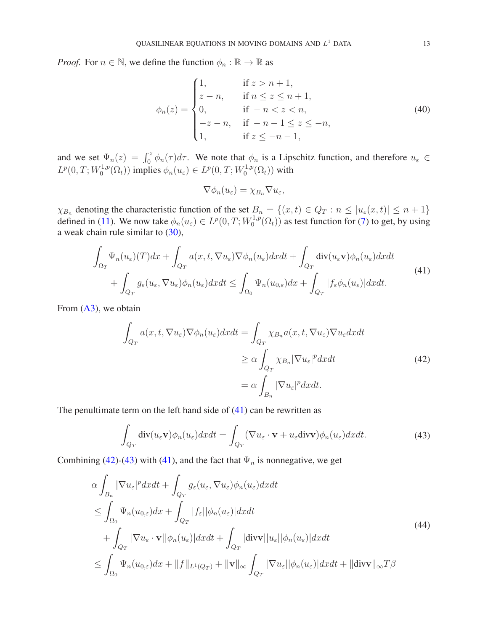*Proof.* For  $n \in \mathbb{N}$ , we define the function  $\phi_n : \mathbb{R} \to \mathbb{R}$  as

<span id="page-12-4"></span>
$$
\phi_n(z) = \begin{cases}\n1, & \text{if } z > n+1, \\
z - n, & \text{if } n \le z \le n+1, \\
0, & \text{if } -n < z < n, \\
-z - n, & \text{if } -n-1 \le z \le -n, \\
1, & \text{if } z \le -n-1,\n\end{cases}\n\tag{40}
$$

and we set  $\Psi_n(z) = \int_0^z \phi_n(\tau) d\tau$ . We note that  $\phi_n$  is a Lipschitz function, and therefore  $u_{\varepsilon} \in$  $L^p(0,T;W_0^{1,p})$  $\phi_0^{1,p}(\Omega_t)$  implies  $\phi_n(u_\varepsilon) \in L^p(0,T;W_0^{1,p})$  $C_0^{1,p}(\Omega_t)$ ) with

$$
\nabla \phi_n(u_\varepsilon)=\chi_{B_n}\nabla u_\varepsilon,
$$

 $\chi_{B_n}$  denoting the characteristic function of the set  $B_n = \{(x, t) \in Q_T : n \leq |u_{\varepsilon}(x, t)| \leq n + 1\}$ defined in [\(11\)](#page-6-7). We now take  $\phi_n(u_\varepsilon) \in L^p(0,T;W_0^{1,p})$  $\mathcal{O}_0^{1,p}(\Omega_t)$  as test function for [\(7\)](#page-4-0) to get, by using a weak chain rule similar to [\(30\)](#page-9-1),

<span id="page-12-0"></span>
$$
\int_{\Omega_T} \Psi_n(u_{\varepsilon})(T)dx + \int_{Q_T} a(x, t, \nabla u_{\varepsilon})\nabla \phi_n(u_{\varepsilon})dxdt + \int_{Q_T} \text{div}(u_{\varepsilon}v)\phi_n(u_{\varepsilon})dxdt \n+ \int_{Q_T} g_{\varepsilon}(u_{\varepsilon}, \nabla u_{\varepsilon})\phi_n(u_{\varepsilon})dxdt \le \int_{\Omega_0} \Psi_n(u_{0,\varepsilon})dx + \int_{Q_T} |f_{\varepsilon}\phi_n(u_{\varepsilon})|dxdt.
$$
\n(41)

From  $(A3)$ , we obtain

<span id="page-12-1"></span>
$$
\int_{Q_T} a(x, t, \nabla u_{\varepsilon}) \nabla \phi_n(u_{\varepsilon}) dx dt = \int_{Q_T} \chi_{B_n} a(x, t, \nabla u_{\varepsilon}) \nabla u_{\varepsilon} dx dt
$$
\n
$$
\geq \alpha \int_{Q_T} \chi_{B_n} |\nabla u_{\varepsilon}|^p dx dt
$$
\n
$$
= \alpha \int_{B_n} |\nabla u_{\varepsilon}|^p dx dt.
$$
\n(42)

The penultimate term on the left hand side of  $(41)$  can be rewritten as

<span id="page-12-2"></span>
$$
\int_{Q_T} \operatorname{div}(u_{\varepsilon} \mathbf{v}) \phi_n(u_{\varepsilon}) dx dt = \int_{Q_T} (\nabla u_{\varepsilon} \cdot \mathbf{v} + u_{\varepsilon} \operatorname{div} \mathbf{v}) \phi_n(u_{\varepsilon}) dx dt.
$$
\n(43)

Combining [\(42\)](#page-12-1)-[\(43\)](#page-12-2) with [\(41\)](#page-12-0), and the fact that  $\Psi_n$  is nonnegative, we get

<span id="page-12-3"></span>
$$
\alpha \int_{B_n} |\nabla u_{\varepsilon}|^p dxdt + \int_{Q_T} g_{\varepsilon}(u_{\varepsilon}, \nabla u_{\varepsilon}) \phi_n(u_{\varepsilon}) dxdt
$$
  
\n
$$
\leq \int_{\Omega_0} \Psi_n(u_{0,\varepsilon}) dx + \int_{Q_T} |f_{\varepsilon}| |\phi_n(u_{\varepsilon})| dxdt
$$
  
\n
$$
+ \int_{Q_T} |\nabla u_{\varepsilon} \cdot \mathbf{v}| |\phi_n(u_{\varepsilon})| dxdt + \int_{Q_T} |\text{div}\mathbf{v}| |u_{\varepsilon}| |\phi_n(u_{\varepsilon})| dxdt
$$
  
\n
$$
\leq \int_{\Omega_0} \Psi_n(u_{0,\varepsilon}) dx + ||f||_{L^1(Q_T)} + ||\mathbf{v}||_{\infty} \int_{Q_T} |\nabla u_{\varepsilon}| |\phi_n(u_{\varepsilon})| dxdt + ||\text{div}\mathbf{v}||_{\infty} T\beta
$$
\n(44)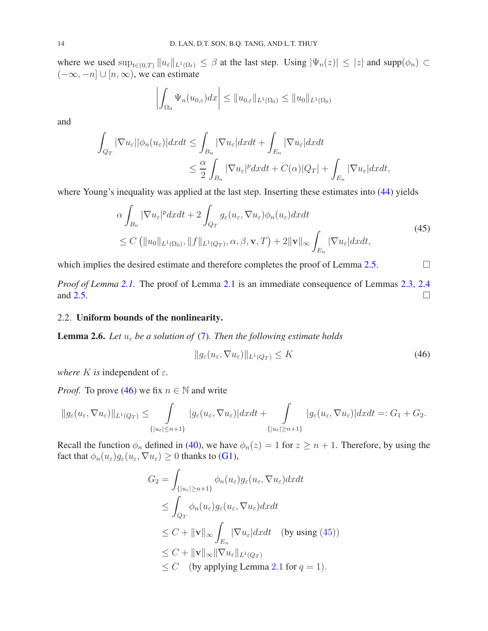where we used  $\sup_{t\in(0,T)} ||u_{\varepsilon}||_{L^1(\Omega_t)} \leq \beta$  at the last step. Using  $|\Psi_n(z)| \leq |z|$  and  $\supp(\phi_n) \subset$  $(-\infty, -n] \cup [n, \infty)$ , we can estimate

$$
\left| \int_{\Omega_0} \Psi_n(u_{0,\varepsilon}) dx \right| \leq \|u_{0,\varepsilon}\|_{L^1(\Omega_0)} \leq \|u_0\|_{L^1(\Omega_0)}
$$

and

$$
\int_{Q_T} |\nabla u_{\varepsilon}| |\phi_n(u_{\varepsilon})| dx dt \leq \int_{B_n} |\nabla u_{\varepsilon}| dx dt + \int_{E_n} |\nabla u_{\varepsilon}| dx dt
$$
  

$$
\leq \frac{\alpha}{2} \int_{B_n} |\nabla u_{\varepsilon}|^p dx dt + C(\alpha) |Q_T| + \int_{E_n} |\nabla u_{\varepsilon}| dx dt,
$$

where Young's inequality was applied at the last step. Inserting these estimates into [\(44\)](#page-12-3) yields

<span id="page-13-1"></span>
$$
\alpha \int_{B_n} |\nabla u_{\varepsilon}|^p dxdt + 2 \int_{Q_T} g_{\varepsilon}(u_{\varepsilon}, \nabla u_{\varepsilon}) \phi_n(u_{\varepsilon}) dxdt
$$
  
\n
$$
\leq C \left( \|u_0\|_{L^1(\Omega_0)}, \|f\|_{L^1(Q_T)}, \alpha, \beta, \mathbf{v}, T \right) + 2\|\mathbf{v}\|_{\infty} \int_{E_n} |\nabla u_{\varepsilon}| dxdt,
$$
\n(45)

which implies the desired estimate and therefore completes the proof of Lemma [2.5.](#page-11-3)  $\Box$ 

*Proof of Lemma* [2.1.](#page-5-2) The proof of Lemma [2.1](#page-5-2) is an immediate consequence of Lemmas [2.3,](#page-6-1) [2.4](#page-9-3) and [2.5.](#page-11-3)

## 2.2. Uniform bounds of the nonlinearity.

<span id="page-13-2"></span>**Lemma 2.6.** Let  $u_{\varepsilon}$  be a solution of [\(7\)](#page-4-0). Then the following estimate holds

<span id="page-13-0"></span>
$$
||g_{\varepsilon}(u_{\varepsilon}, \nabla u_{\varepsilon})||_{L^{1}(Q_{T})} \leq K
$$
\n(46)

*where* K *is* independent of  $\varepsilon$ .

*Proof.* To prove [\(46\)](#page-13-0) we fix  $n \in \mathbb{N}$  and write

$$
\|g_{\varepsilon}(u_{\varepsilon},\nabla u_{\varepsilon})\|_{L^{1}(Q_{T})}\leq\int\limits_{\{|u_{\varepsilon}|\leq n+1\}}|g_{\varepsilon}(u_{\varepsilon},\nabla u_{\varepsilon})|dxdt+\int\limits_{\{|u_{\varepsilon}|\geq n+1\}}|g_{\varepsilon}(u_{\varepsilon},\nabla u_{\varepsilon})|dxdt=:G_{1}+G_{2}.
$$

Recall the function  $\phi_n$  defined in [\(40\)](#page-12-4), we have  $\phi_n(z) = 1$  for  $z \ge n + 1$ . Therefore, by using the fact that  $\phi_n(u_\varepsilon)g_\varepsilon(u_\varepsilon,\nabla u_\varepsilon)\geq 0$  thanks to [\(G1\)](#page-1-3),

$$
G_2 = \int_{\{|u_{\varepsilon}| \ge n+1\}} \phi_n(u_{\varepsilon}) g_{\varepsilon}(u_{\varepsilon}, \nabla u_{\varepsilon}) dx dt
$$
  
\n
$$
\le \int_{Q_T} \phi_n(u_{\varepsilon}) g_{\varepsilon}(u_{\varepsilon}, \nabla u_{\varepsilon}) dx dt
$$
  
\n
$$
\le C + ||\mathbf{v}||_{\infty} \int_{E_n} |\nabla u_{\varepsilon}| dx dt \quad \text{(by using (45))}
$$
  
\n
$$
\le C + ||\mathbf{v}||_{\infty} ||\nabla u_{\varepsilon}||_{L^1(Q_T)}
$$
  
\n
$$
\le C \quad \text{(by applying Lemma 2.1 for } q = 1).
$$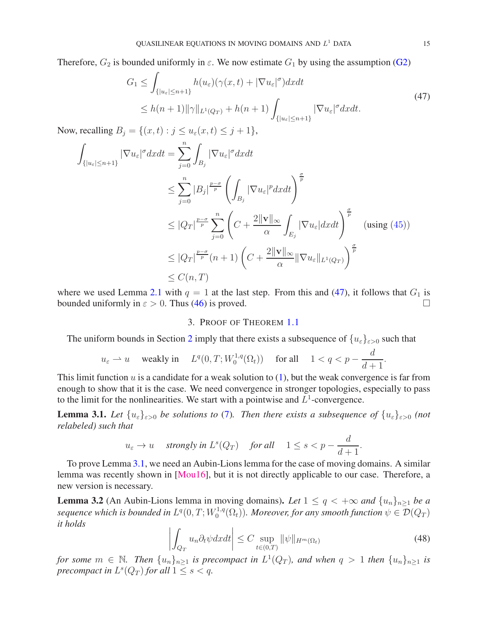Therefore,  $G_2$  is bounded uniformly in  $\varepsilon$ . We now estimate  $G_1$  by using the assumption [\(G2\)](#page-1-2)

<span id="page-14-1"></span>
$$
G_1 \leq \int_{\{|u_{\varepsilon}| \leq n+1\}} h(u_{\varepsilon})(\gamma(x,t) + |\nabla u_{\varepsilon}|^{\sigma}) dx dt
$$
  
 
$$
\leq h(n+1) ||\gamma||_{L^1(Q_T)} + h(n+1) \int_{\{|u_{\varepsilon}| \leq n+1\}} |\nabla u_{\varepsilon}|^{\sigma} dx dt.
$$
 (47)

Now, recalling  $B_j = \{(x, t) : j \le u_\varepsilon(x, t) \le j + 1\},\$ 

$$
\int_{\{|u_{\varepsilon}| \le n+1\}} |\nabla u_{\varepsilon}|^{\sigma} dx dt = \sum_{j=0}^{n} \int_{B_{j}} |\nabla u_{\varepsilon}|^{\sigma} dx dt
$$
\n
$$
\le \sum_{j=0}^{n} |B_{j}|^{\frac{p-\sigma}{p}} \left( \int_{B_{j}} |\nabla u_{\varepsilon}|^{p} dx dt \right)^{\frac{\sigma}{p}}
$$
\n
$$
\le |Q_{T}|^{\frac{p-\sigma}{p}} \sum_{j=0}^{n} \left( C + \frac{2 \|\mathbf{v}\|_{\infty}}{\alpha} \int_{E_{j}} |\nabla u_{\varepsilon}| dx dt \right)^{\frac{\sigma}{p}} \text{ (using (45))}
$$
\n
$$
\le |Q_{T}|^{\frac{p-\sigma}{p}} (n+1) \left( C + \frac{2 \|\mathbf{v}\|_{\infty}}{\alpha} \|\nabla u_{\varepsilon}\|_{L^{1}(Q_{T})} \right)^{\frac{\sigma}{p}}
$$
\n
$$
\le C(n, T)
$$

<span id="page-14-0"></span>where we used Lemma [2.1](#page-5-2) with  $q = 1$  at the last step. From this and [\(47\)](#page-14-1), it follows that  $G_1$  is bounded uniformly in  $\varepsilon > 0$ . Thus [\(46\)](#page-13-0) is proved.

### 3. PROOF OF THEOREM [1.1](#page-3-1)

The uniform bounds in Section [2](#page-4-2) imply that there exists a subsequence of  $\{u_{\varepsilon}\}_{{\varepsilon}>0}$  such that

$$
u_{\varepsilon} \rightharpoonup u
$$
 weakly in  $L^{q}(0,T;W_{0}^{1,q}(\Omega_{t}))$  for all  $1 < q < p - \frac{d}{d+1}$ .

This limit function  $u$  is a candidate for a weak solution to  $(1)$ , but the weak convergence is far from enough to show that it is the case. We need convergence in stronger topologies, especially to pass to the limit for the nonlinearities. We start with a pointwise and  $L^1$ -convergence.

<span id="page-14-2"></span>**Lemma 3.1.** Let  $\{u_{\varepsilon}\}_{{\varepsilon}>0}$  be solutions to [\(7\)](#page-4-0). Then there exists a subsequence of  $\{u_{\varepsilon}\}_{{\varepsilon}>0}$  (not *relabeled) such that*

$$
u_{\varepsilon}\to u\quad\text{ strongly in }L^s(Q_T)\quad\text{ for all }\quad 1\leq s
$$

To prove Lemma [3.1,](#page-14-2) we need an Aubin-Lions lemma for the case of moving domains. A similar lemma was recently shown in [\[Mou16\]](#page-29-21), but it is not directly applicable to our case. Therefore, a new version is necessary.

<span id="page-14-4"></span>**Lemma 3.2** (An Aubin-Lions lemma in moving domains). Let  $1 \leq q < +\infty$  and  $\{u_n\}_{n\geq1}$  be a sequence which is bounded in  $L^q(0,T;W_0^{1,q})$  $\mathcal{O}_0^{1,q}(\Omega_t)$ ). Moreover, for any smooth function  $\psi \in \mathcal{D}(Q_T)$ *it holds*

<span id="page-14-3"></span>
$$
\left| \int_{Q_T} u_n \partial_t \psi dx dt \right| \le C \sup_{t \in (0,T)} ||\psi||_{H^m(\Omega_t)}
$$
\n(48)

*for some*  $m \in \mathbb{N}$ . Then  $\{u_n\}_{n\geq 1}$  *is precompact in*  $L^1(Q_T)$ *, and when*  $q > 1$  *then*  $\{u_n\}_{n\geq 1}$  *is precompact in*  $L^s(Q_T)$  *for all*  $1 \leq s < q$ *.*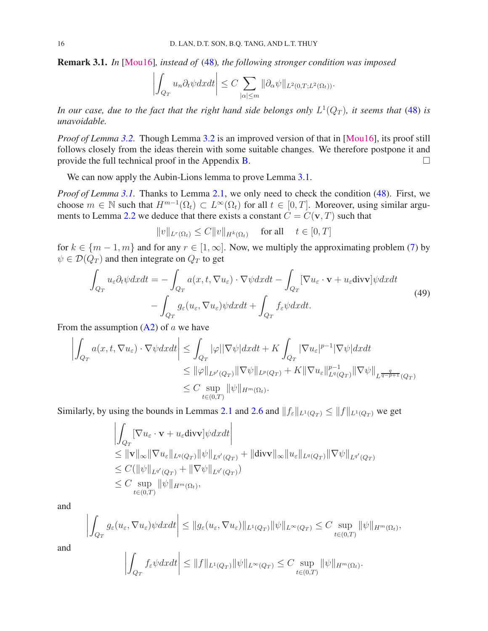Remark 3.1. *In* [\[Mou16\]](#page-29-21)*, instead of* [\(48\)](#page-14-3)*, the following stronger condition was imposed*

$$
\left| \int_{Q_T} u_n \partial_t \psi dx dt \right| \leq C \sum_{|\alpha| \leq m} \|\partial_\alpha \psi\|_{L^2(0,T;L^2(\Omega_t))}.
$$

In our case, due to the fact that the right hand side belongs only  $L^1(Q_T)$ , it seems that [\(48\)](#page-14-3) is *unavoidable.*

*Proof of Lemma* [3.2.](#page-14-4) Though Lemma [3.2](#page-14-4) is an improved version of that in [\[Mou16\]](#page-29-21), its proof still follows closely from the ideas therein with some suitable changes. We therefore postpone it and provide the full technical proof in the Appendix  $\bf{B}$ .

We can now apply the Aubin-Lions lemma to prove Lemma [3.1.](#page-14-2)

*Proof of Lemma [3.1.](#page-14-2)* Thanks to Lemma [2.1,](#page-5-2) we only need to check the condition [\(48\)](#page-14-3). First, we choose  $m \in \mathbb{N}$  such that  $H^{m-1}(\Omega_t) \subset L^{\infty}(\Omega_t)$  for all  $t \in [0, T]$ . Moreover, using similar argu-ments to Lemma [2.2](#page-5-1) we deduce that there exists a constant  $C = C(\mathbf{v}, T)$  such that

 $||v||_{L^r(\Omega_t)} \leq C||v||_{H^k(\Omega_t)} \quad \text{ for all } \quad t \in [0, T]$ 

for  $k \in \{m-1, m\}$  and for any  $r \in [1, \infty]$ . Now, we multiply the approximating problem [\(7\)](#page-4-0) by  $\psi \in \mathcal{D}(Q_T)$  and then integrate on  $Q_T$  to get

<span id="page-15-0"></span>
$$
\int_{Q_T} u_{\varepsilon} \partial_t \psi dx dt = - \int_{Q_T} a(x, t, \nabla u_{\varepsilon}) \cdot \nabla \psi dx dt - \int_{Q_T} [\nabla u_{\varepsilon} \cdot \mathbf{v} + u_{\varepsilon} \text{div} \mathbf{v}] \psi dx dt \n- \int_{Q_T} g_{\varepsilon}(u_{\varepsilon}, \nabla u_{\varepsilon}) \psi dx dt + \int_{Q_T} f_{\varepsilon} \psi dx dt.
$$
\n(49)

From the assumption  $(A2)$  of a we have

$$
\left| \int_{Q_T} a(x, t, \nabla u_{\varepsilon}) \cdot \nabla \psi dx dt \right| \leq \int_{Q_T} |\varphi| |\nabla \psi| dx dt + K \int_{Q_T} |\nabla u_{\varepsilon}|^{p-1} |\nabla \psi| dx dt \n\leq ||\varphi||_{L^{p'}(Q_T)} ||\nabla \psi||_{L^{p}(Q_T)} + K ||\nabla u_{\varepsilon}||_{L^{q}(Q_T)}^{p-1} ||\nabla \psi||_{L^{\frac{q}{q-p+1}}(Q_T)} \n\leq C \sup_{t \in (0,T)} ||\psi||_{H^m(\Omega_t)}.
$$

Similarly, by using the bounds in Lemmas [2.1](#page-5-2) and [2.6](#page-13-2) and  $||f_{\varepsilon}||_{L^1(Q_T)} \le ||f||_{L^1(Q_T)}$  we get

$$
\left| \int_{Q_T} \left[ \nabla u_{\varepsilon} \cdot \mathbf{v} + u_{\varepsilon} \text{div} \mathbf{v} \right] \psi dx dt \right|
$$
  
\n
$$
\leq \| \mathbf{v} \|_{\infty} \| \nabla u_{\varepsilon} \|_{L^q(Q_T)} \| \psi \|_{L^{q'}(Q_T)} + \| \text{div} \mathbf{v} \|_{\infty} \| u_{\varepsilon} \|_{L^q(Q_T)} \| \nabla \psi \|_{L^{q'}(Q_T)}
$$
  
\n
$$
\leq C (\|\psi\|_{L^{q'}(Q_T)} + \|\nabla \psi\|_{L^{q'}(Q_T)})
$$
  
\n
$$
\leq C \sup_{t \in (0,T)} \| \psi \|_{H^m(\Omega_t)},
$$

and

$$
\left| \int_{Q_T} g_{\varepsilon}(u_{\varepsilon}, \nabla u_{\varepsilon}) \psi dx dt \right| \leq \|g_{\varepsilon}(u_{\varepsilon}, \nabla u_{\varepsilon})\|_{L^1(Q_T)} \|\psi\|_{L^{\infty}(Q_T)} \leq C \sup_{t \in (0,T)} \|\psi\|_{H^m(\Omega_t)},
$$

and

$$
\left| \int_{Q_T} f_{\varepsilon} \psi dx dt \right| \leq \|f\|_{L^1(Q_T)} \|\psi\|_{L^\infty(Q_T)} \leq C \sup_{t \in (0,T)} \|\psi\|_{H^m(\Omega_t)}.
$$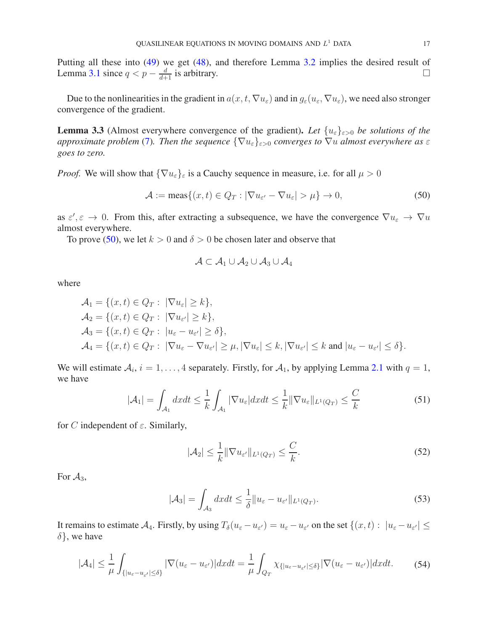Putting all these into [\(49\)](#page-15-0) we get [\(48\)](#page-14-3), and therefore Lemma [3.2](#page-14-4) implies the desired result of Lemma [3.1](#page-14-2) since  $q < p - \frac{d}{d+1}$  is arbitrary. □

Due to the nonlinearities in the gradient in  $a(x, t, \nabla u_\varepsilon)$  and in  $g_\varepsilon(u_\varepsilon, \nabla u_\varepsilon)$ , we need also stronger convergence of the gradient.

<span id="page-16-5"></span>**Lemma 3.3** (Almost everywhere convergence of the gradient). Let  $\{u_{\varepsilon}\}_{{\varepsilon}>0}$  be solutions of the *approximate problem* [\(7\)](#page-4-0). Then the sequence  $\{\nabla u_{\varepsilon}\}_{\varepsilon>0}$  converges to  $\nabla u$  almost everywhere as  $\varepsilon$ *goes to zero.*

*Proof.* We will show that  $\{\nabla u_{\varepsilon}\}_{\varepsilon}$  is a Cauchy sequence in measure, i.e. for all  $\mu > 0$ 

<span id="page-16-0"></span>
$$
\mathcal{A} := \text{meas}\{(x, t) \in Q_T : |\nabla u_{\varepsilon'} - \nabla u_{\varepsilon}| > \mu\} \to 0,\tag{50}
$$

as  $\varepsilon'$ ,  $\varepsilon \to 0$ . From this, after extracting a subsequence, we have the convergence  $\nabla u_{\varepsilon} \to \nabla u$ almost everywhere.

To prove [\(50\)](#page-16-0), we let  $k > 0$  and  $\delta > 0$  be chosen later and observe that

$$
\mathcal{A} \subset \mathcal{A}_1 \cup \mathcal{A}_2 \cup \mathcal{A}_3 \cup \mathcal{A}_4
$$

where

$$
\begin{aligned}\n\mathcal{A}_1 &= \{ (x, t) \in Q_T : |\nabla u_{\varepsilon}| \ge k \}, \\
\mathcal{A}_2 &= \{ (x, t) \in Q_T : |\nabla u_{\varepsilon'}| \ge k \}, \\
\mathcal{A}_3 &= \{ (x, t) \in Q_T : |u_{\varepsilon} - u_{\varepsilon'}| \ge \delta \}, \\
\mathcal{A}_4 &= \{ (x, t) \in Q_T : |\nabla u_{\varepsilon} - \nabla u_{\varepsilon'}| \ge \mu, |\nabla u_{\varepsilon}| \le k, |\nabla u_{\varepsilon'}| \le k \text{ and } |u_{\varepsilon} - u_{\varepsilon'}| \le \delta \}.\n\end{aligned}
$$

We will estimate  $A_i$ ,  $i = 1, ..., 4$  separately. Firstly, for  $A_1$ , by applying Lemma [2.1](#page-5-2) with  $q = 1$ , we have

<span id="page-16-2"></span>
$$
|\mathcal{A}_1| = \int_{\mathcal{A}_1} dx dt \le \frac{1}{k} \int_{\mathcal{A}_1} |\nabla u_{\varepsilon}| dx dt \le \frac{1}{k} ||\nabla u_{\varepsilon}||_{L^1(Q_T)} \le \frac{C}{k}
$$
(51)

for C independent of  $\varepsilon$ . Similarly,

<span id="page-16-3"></span>
$$
|\mathcal{A}_2| \le \frac{1}{k} \|\nabla u_{\varepsilon'}\|_{L^1(Q_T)} \le \frac{C}{k}.\tag{52}
$$

For  $\mathcal{A}_3$ ,

<span id="page-16-4"></span>
$$
|\mathcal{A}_3| = \int_{\mathcal{A}_3} dx dt \le \frac{1}{\delta} \|u_{\varepsilon} - u_{\varepsilon'}\|_{L^1(Q_T)}.
$$
\n(53)

It remains to estimate  $A_4$ . Firstly, by using  $T_\delta(u_\varepsilon - u_{\varepsilon'}) = u_\varepsilon - u_{\varepsilon'}$  on the set  $\{(x, t) : |u_\varepsilon - u_{\varepsilon'}| \leq$  $\delta$ , we have

<span id="page-16-1"></span>
$$
|\mathcal{A}_4| \leq \frac{1}{\mu} \int_{\{|u_{\varepsilon} - u_{\varepsilon'}| \leq \delta\}} |\nabla (u_{\varepsilon} - u_{\varepsilon'})| dx dt = \frac{1}{\mu} \int_{Q_T} \chi_{\{|u_{\varepsilon} - u_{\varepsilon'}| \leq \delta\}} |\nabla (u_{\varepsilon} - u_{\varepsilon'})| dx dt. \tag{54}
$$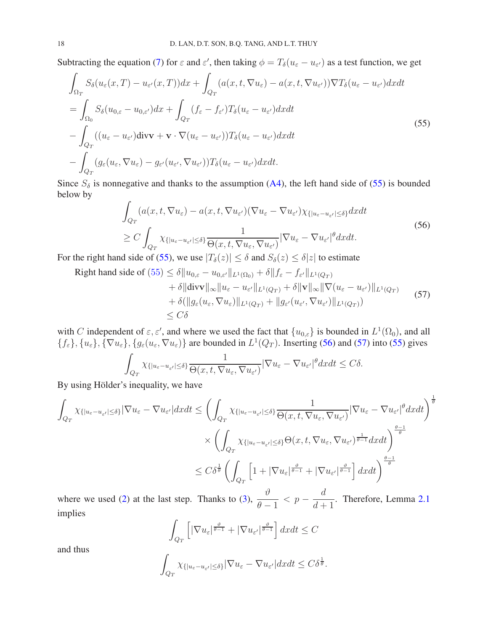Subtracting the equation [\(7\)](#page-4-0) for  $\varepsilon$  and  $\varepsilon'$ , then taking  $\phi = T_\delta(u_\varepsilon - u_{\varepsilon'})$  as a test function, we get

<span id="page-17-0"></span>
$$
\int_{\Omega_T} S_{\delta}(u_{\varepsilon}(x,T) - u_{\varepsilon'}(x,T))dx + \int_{Q_T} (a(x,t,\nabla u_{\varepsilon}) - a(x,t,\nabla u_{\varepsilon'}))\nabla T_{\delta}(u_{\varepsilon} - u_{\varepsilon'})dxdt \n= \int_{\Omega_0} S_{\delta}(u_{0,\varepsilon} - u_{0,\varepsilon'})dx + \int_{Q_T} (f_{\varepsilon} - f_{\varepsilon'})T_{\delta}(u_{\varepsilon} - u_{\varepsilon'})dxdt \n- \int_{Q_T} ((u_{\varepsilon} - u_{\varepsilon'})div\mathbf{v} + \mathbf{v} \cdot \nabla(u_{\varepsilon} - u_{\varepsilon'}))T_{\delta}(u_{\varepsilon} - u_{\varepsilon'})dxdt \n- \int_{Q_T} (g_{\varepsilon}(u_{\varepsilon}, \nabla u_{\varepsilon}) - g_{\varepsilon'}(u_{\varepsilon'}, \nabla u_{\varepsilon'}))T_{\delta}(u_{\varepsilon} - u_{\varepsilon'})dxdt.
$$
\n(55)

Since  $S_\delta$  is nonnegative and thanks to the assumption [\(A4\)](#page-1-1), the left hand side of [\(55\)](#page-17-0) is bounded below by

<span id="page-17-1"></span>
$$
\int_{Q_T} (a(x, t, \nabla u_{\varepsilon}) - a(x, t, \nabla u_{\varepsilon'}) (\nabla u_{\varepsilon} - \nabla u_{\varepsilon'}) \chi_{\{|u_{\varepsilon} - u_{\varepsilon'}| \leq \delta\}} dx dt
$$
\n
$$
\geq C \int_{Q_T} \chi_{\{|u_{\varepsilon} - u_{\varepsilon'}| \leq \delta\}} \frac{1}{\Theta(x, t, \nabla u_{\varepsilon}, \nabla u_{\varepsilon'})} |\nabla u_{\varepsilon} - \nabla u_{\varepsilon'}|^{\theta} dx dt.
$$
\n
$$
\text{d} \text{ side of (55) may use } |T(u)| \leq \delta \text{ and } S(u) \leq \delta |u| \text{ to estimate}
$$

For the right hand side of [\(55\)](#page-17-0), we use  $|T_\delta(z)| \leq \delta$  and  $S_\delta(z) \leq \delta |z|$  to estimate

<span id="page-17-2"></span>Right hand side of  $(55) \le \delta \| u_{0,\varepsilon} - u_{0,\varepsilon'} \|_{L^1(\Omega_0)} + \delta \| f_{\varepsilon} - f_{\varepsilon'} \|_{L^1(Q_T)}$  $(55) \le \delta \| u_{0,\varepsilon} - u_{0,\varepsilon'} \|_{L^1(\Omega_0)} + \delta \| f_{\varepsilon} - f_{\varepsilon'} \|_{L^1(Q_T)}$  $\overline{\chi}$ 

$$
+ \delta \|\text{div}\mathbf{v}\|_{\infty} \|u_{\varepsilon} - u_{\varepsilon'}\|_{L^{1}(Q_{T})} + \delta \|\mathbf{v}\|_{\infty} \|\nabla(u_{\varepsilon} - u_{\varepsilon'})\|_{L^{1}(Q_{T})}
$$
  
+ 
$$
\delta (\|g_{\varepsilon}(u_{\varepsilon}, \nabla u_{\varepsilon})\|_{L^{1}(Q_{T})} + \|g_{\varepsilon'}(u_{\varepsilon'}, \nabla u_{\varepsilon'})\|_{L^{1}(Q_{T})})
$$
  

$$
\leq C\delta
$$
 (57)

with C independent of  $\varepsilon$ ,  $\varepsilon'$ , and where we used the fact that  $\{u_{0,\varepsilon}\}\)$  is bounded in  $L^1(\Omega_0)$ , and all  $\{f_{\varepsilon}\}, \{u_{\varepsilon}\}, \{\nabla u_{\varepsilon}\}, \{g_{\varepsilon}(u_{\varepsilon}, \nabla u_{\varepsilon})\}\$ are bounded in  $L^1(Q_T)$ . Inserting [\(56\)](#page-17-1) and [\(57\)](#page-17-2) into [\(55\)](#page-17-0) gives

$$
\int_{Q_T} \chi_{\{|u_{\varepsilon}-u_{\varepsilon'}|\leq \delta\}} \frac{1}{\Theta(x,t,\nabla u_{\varepsilon},\nabla u_{\varepsilon'})} |\nabla u_{\varepsilon}-\nabla u_{\varepsilon'}|^{\theta} dxdt \leq C\delta.
$$

By using Hölder's inequality, we have

$$
\int_{Q_T} \chi_{\{|u_{\varepsilon}-u_{\varepsilon'}|\leq \delta\}} |\nabla u_{\varepsilon} - \nabla u_{\varepsilon'}| dx dt \leq \left( \int_{Q_T} \chi_{\{|u_{\varepsilon}-u_{\varepsilon'}|\leq \delta\}} \frac{1}{\Theta(x, t, \nabla u_{\varepsilon}, \nabla u_{\varepsilon'})} |\nabla u_{\varepsilon} - \nabla u_{\varepsilon'}|^{\theta} dx dt \right)^{\frac{1}{\theta}}
$$
  
\$\times \left( \int\_{Q\_T} \chi\_{\{|u\_{\varepsilon}-u\_{\varepsilon'}|\leq \delta\}} \Theta(x, t, \nabla u\_{\varepsilon}, \nabla u\_{\varepsilon'})^{\frac{1}{\theta-1}} dx dt \right)^{\frac{\theta-1}{\theta}}\$  
\$\leq C\delta^{\frac{1}{\theta}} \left( \int\_{Q\_T} \left[ 1 + |\nabla u\_{\varepsilon}|^{\frac{\theta}{\theta-1}} + |\nabla u\_{\varepsilon'}|^{\frac{\theta}{\theta-1}} \right] dx dt \right)^{\frac{\theta-1}{\theta}}\$

where we used  $(2)$  at the last step. Thanks to  $(3)$ ,  $\vartheta$  $\theta - 1$  $< p -$ d  $d+1$ . Therefore, Lemma [2.1](#page-5-2) implies

$$
\int_{Q_T} \left[ |\nabla u_{\varepsilon}|^{\frac{\vartheta}{\theta-1}} + |\nabla u_{\varepsilon'}|^{\frac{\vartheta}{\theta-1}} \right] dx dt \leq C
$$

and thus

$$
\int_{Q_T} \chi_{\{|u_{\varepsilon}-u_{\varepsilon'}|\leq \delta\}} |\nabla u_{\varepsilon}-\nabla u_{\varepsilon'}| dx dt \leq C \delta^{\frac{1}{\theta}}.
$$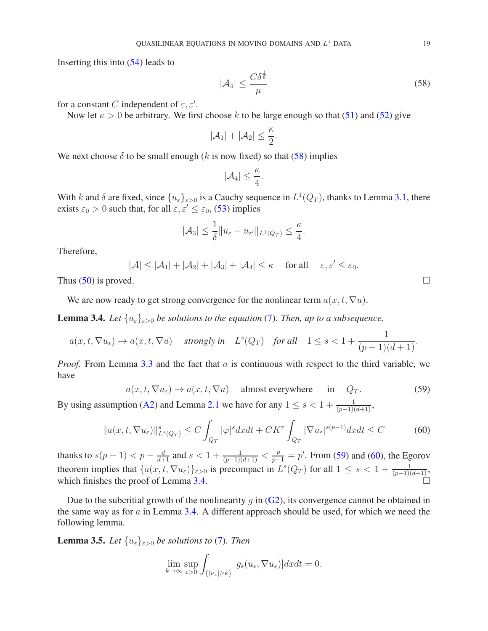Inserting this into [\(54\)](#page-16-1) leads to

<span id="page-18-0"></span>
$$
|\mathcal{A}_4| \le \frac{C\delta^{\frac{1}{\theta}}}{\mu} \tag{58}
$$

for a constant C independent of  $\varepsilon, \varepsilon'$ .

Now let  $\kappa > 0$  be arbitrary. We first choose k to be large enough so that [\(51\)](#page-16-2) and [\(52\)](#page-16-3) give

$$
|\mathcal{A}_1|+|\mathcal{A}_2|\leq \frac{\kappa}{2}.
$$

We next choose  $\delta$  to be small enough (k is now fixed) so that [\(58\)](#page-18-0) implies

$$
|\mathcal{A}_4|\leq \frac{\kappa}{4}.
$$

With k and  $\delta$  are fixed, since  $\{u_{\varepsilon}\}_{{\varepsilon}>0}$  is a Cauchy sequence in  $L^1(Q_T)$ , thanks to Lemma [3.1,](#page-14-2) there exists  $\varepsilon_0 > 0$  such that, for all  $\varepsilon, \varepsilon' \le \varepsilon_0$ , [\(53\)](#page-16-4) implies

$$
|\mathcal{A}_3| \leq \frac{1}{\delta} \|u_{\varepsilon} - u_{\varepsilon'}\|_{L^1(Q_T)} \leq \frac{\kappa}{4}.
$$

Therefore,

 $|\mathcal{A}| \leq |\mathcal{A}_1| + |\mathcal{A}_2| + |\mathcal{A}_3| + |\mathcal{A}_4| \leq \kappa$  for all  $\varepsilon, \varepsilon' \leq \varepsilon_0$ .

Thus [\(50\)](#page-16-0) is proved.  $\square$ 

We are now ready to get strong convergence for the nonlinear term  $a(x, t, \nabla u)$ .

<span id="page-18-3"></span>**Lemma 3.4.** *Let*  $\{u_{\varepsilon}\}_{{\varepsilon}>0}$  *be solutions to the equation* [\(7\)](#page-4-0). *Then, up to a subsequence,* 

$$
a(x, t, \nabla u_{\varepsilon}) \to a(x, t, \nabla u) \quad \text{ strongly in} \quad L^{s}(Q_T) \quad \text{for all} \quad 1 \le s < 1 + \frac{1}{(p-1)(d+1)}.
$$

*Proof.* From Lemma [3.3](#page-16-5) and the fact that a is continuous with respect to the third variable, we have

<span id="page-18-1"></span>
$$
a(x, t, \nabla u_{\varepsilon}) \to a(x, t, \nabla u) \quad \text{almost everywhere} \quad \text{in} \quad Q_T. \tag{59}
$$

By using assumption [\(A2\)](#page-1-5) and Lemma [2.1](#page-5-2) we have for any  $1 \le s < 1 + \frac{1}{(p-1)(d+1)}$ ,

$$
||a(x,t,\nabla u_{\varepsilon})||_{L^{s}(Q_{T})}^{s} \leq C \int_{Q_{T}} |\varphi|^{s} dxdt + CK^{r} \int_{Q_{T}} |\nabla u_{\varepsilon}|^{s(p-1)} dxdt \leq C
$$
 (60)

thanks to  $s(p-1) < p - \frac{d}{d+1}$  and  $s < 1 + \frac{1}{(p-1)(d+1)} < \frac{p}{p-1} = p'$ . From [\(59\)](#page-18-1) and [\(60\)](#page-18-2), the Egorov theorem implies that  $\{a(x, t, \nabla u_{\varepsilon})\}_{{\varepsilon}>0}$  is precompact in  $L^{s}(Q_T)$  for all  $1 \leq s < 1 + \frac{1}{(p-1)(d+1)}$ , which finishes the proof of Lemma [3.4.](#page-18-3)

Due to the subcritial growth of the nonlinearity q in  $(G2)$ , its convergence cannot be obtained in the same way as for  $a$  in Lemma [3.4.](#page-18-3) A different approach should be used, for which we need the following lemma.

<span id="page-18-4"></span>**Lemma 3.5.** *Let*  $\{u_{\varepsilon}\}_{{\varepsilon}>0}$  *be solutions to* [\(7\)](#page-4-0)*. Then* 

<span id="page-18-2"></span>
$$
\lim_{k \to \infty} \sup_{\varepsilon > 0} \int_{\{|u_{\varepsilon}| \ge k\}} |g_{\varepsilon}(u_{\varepsilon}, \nabla u_{\varepsilon})| dx dt = 0.
$$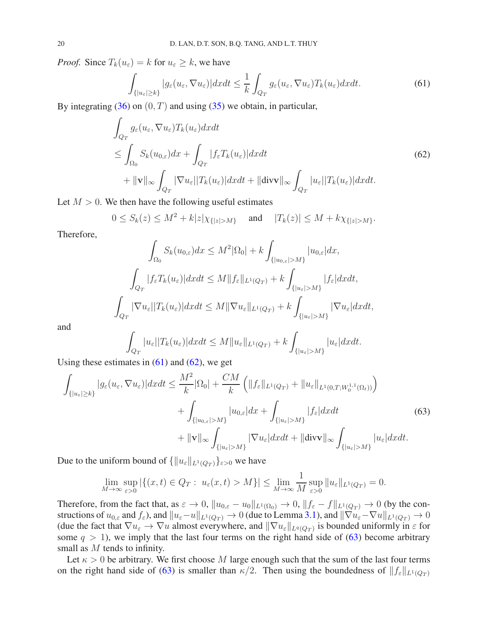*Proof.* Since  $T_k(u_\varepsilon) = k$  for  $u_\varepsilon \geq k$ , we have

<span id="page-19-0"></span>
$$
\int_{\{|u_{\varepsilon}| \ge k\}} |g_{\varepsilon}(u_{\varepsilon}, \nabla u_{\varepsilon})| dx dt \le \frac{1}{k} \int_{Q_T} g_{\varepsilon}(u_{\varepsilon}, \nabla u_{\varepsilon}) T_k(u_{\varepsilon}) dx dt.
$$
\n(61)

By integrating  $(36)$  on  $(0, T)$  and using  $(35)$  we obtain, in particular,

<span id="page-19-1"></span>
$$
\int_{Q_T} g_{\varepsilon}(u_{\varepsilon}, \nabla u_{\varepsilon}) T_k(u_{\varepsilon}) dx dt
$$
\n
$$
\leq \int_{\Omega_0} S_k(u_{0,\varepsilon}) dx + \int_{Q_T} |f_{\varepsilon} T_k(u_{\varepsilon})| dx dt
$$
\n
$$
+ \| \mathbf{v} \|_{\infty} \int_{Q_T} |\nabla u_{\varepsilon}| |T_k(u_{\varepsilon})| dx dt + \| \text{div} \mathbf{v} \|_{\infty} \int_{Q_T} |u_{\varepsilon}| |T_k(u_{\varepsilon})| dx dt.
$$
\n(62)

Let  $M > 0$ . We then have the following useful estimates

$$
0 \le S_k(z) \le M^2 + k|z|\chi_{\{|z|>M\}}
$$
 and  $|T_k(z)| \le M + k\chi_{\{|z|>M\}}.$ 

Therefore,

$$
\int_{\Omega_0} S_k(u_{0,\varepsilon}) dx \le M^2 |\Omega_0| + k \int_{\{|u_{0,\varepsilon}|>M\}} |u_{0,\varepsilon}| dx,
$$
  

$$
\int_{Q_T} |f_{\varepsilon} T_k(u_{\varepsilon})| dx dt \le M \|f_{\varepsilon}\|_{L^1(Q_T)} + k \int_{\{|u_{\varepsilon}|>M\}} |f_{\varepsilon}| dx dt,
$$
  

$$
\int_{Q_T} |\nabla u_{\varepsilon}| |T_k(u_{\varepsilon})| dx dt \le M \|\nabla u_{\varepsilon}\|_{L^1(Q_T)} + k \int_{\{|u_{\varepsilon}|>M\}} |\nabla u_{\varepsilon}| dx dt,
$$

and

$$
\int_{Q_T} |u_{\varepsilon}| |T_k(u_{\varepsilon})| dx dt \le M \|u_{\varepsilon}\|_{L^1(Q_T)} + k \int_{\{|u_{\varepsilon}| > M\}} |u_{\varepsilon}| dx dt.
$$

Using these estimates in  $(61)$  and  $(62)$ , we get

<span id="page-19-2"></span>
$$
\int_{\{|u_{\varepsilon}| \ge k\}} |g_{\varepsilon}(u_{\varepsilon}, \nabla u_{\varepsilon})| dx dt \le \frac{M^2}{k} |\Omega_0| + \frac{CM}{k} \left( \|f_{\varepsilon}\|_{L^1(Q_T)} + \|u_{\varepsilon}\|_{L^1(0,T;W_0^{1,1}(\Omega_t))} \right) \n+ \int_{\{|u_{0,\varepsilon}| > M\}} |u_{0,\varepsilon}| dx + \int_{\{|u_{\varepsilon}| > M\}} |f_{\varepsilon}| dx dt \n+ \|v\|_{\infty} \int_{\{|u_{\varepsilon}| > M\}} |\nabla u_{\varepsilon}| dx dt + \|div \|u_{\infty} \int_{\{|u_{\varepsilon}| > M\}} |u_{\varepsilon}| dx dt.
$$
\n(63)

Due to the uniform bound of  $\{\|u_{\varepsilon}\|_{L^1(Q_T)}\}_{\varepsilon>0}$  we have

$$
\lim_{M \to \infty} \sup_{\varepsilon > 0} |\{(x, t) \in Q_T : u_\varepsilon(x, t) > M\}| \le \lim_{M \to \infty} \frac{1}{M} \sup_{\varepsilon > 0} \|u_\varepsilon\|_{L^1(Q_T)} = 0.
$$

Therefore, from the fact that, as  $\varepsilon \to 0$ ,  $||u_{0,\varepsilon} - u_0||_{L^1(\Omega_0)} \to 0$ ,  $||f_{\varepsilon} - f||_{L^1(Q_T)} \to 0$  (by the constructions of  $u_{0,\varepsilon}$  and  $f_{\varepsilon}$ ), and  $||u_{\varepsilon}-u||_{L^1(Q_T)} \to 0$  (due to Lemma [3.1\)](#page-14-2), and  $||\nabla u_{\varepsilon}-\nabla u||_{L^1(Q_T)} \to 0$ (due the fact that  $\nabla u_{\varepsilon} \to \nabla u$  almost everywhere, and  $\|\nabla u_{\varepsilon}\|_{L^q(Q_T)}$  is bounded uniformly in  $\varepsilon$  for some  $q > 1$ ), we imply that the last four terms on the right hand side of [\(63\)](#page-19-2) become arbitrary small as M tends to infinity.

Let  $\kappa > 0$  be arbitrary. We first choose M large enough such that the sum of the last four terms on the right hand side of [\(63\)](#page-19-2) is smaller than  $\kappa/2$ . Then using the boundedness of  $||f_{\varepsilon}||_{L^1(Q_T)}$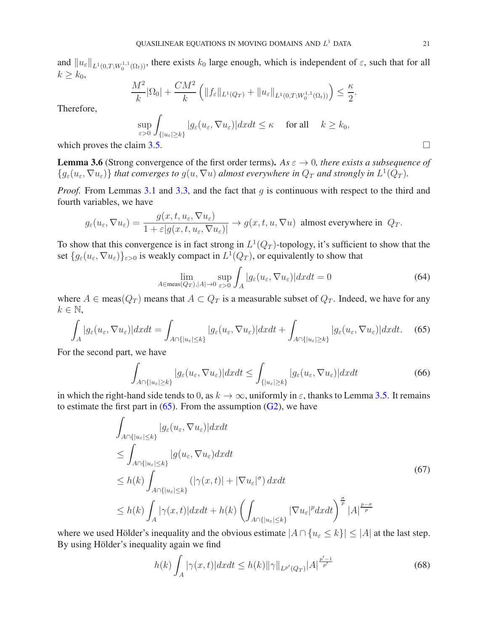and  $||u_{\varepsilon}||_{L^1(0,T;W_0^{1,1}(\Omega_t))}$ , there exists  $k_0$  large enough, which is independent of  $\varepsilon$ , such that for all  $k \geq k_0$ 

$$
\frac{M^2}{k}|\Omega_0| + \frac{CM^2}{k} \left( \|f_{\varepsilon}\|_{L^1(Q_T)} + \|u_{\varepsilon}\|_{L^1(0,T;W_0^{1,1}(\Omega_t))} \right) \le \frac{\kappa}{2}.
$$

Therefore,

$$
\sup_{\varepsilon>0}\int_{\{|u_{\varepsilon}|\geq k\}}|g_{\varepsilon}(u_{\varepsilon},\nabla u_{\varepsilon})|dxdt\leq \kappa \quad \text{ for all }\quad k\geq k_0,
$$
  
which proves the claim 3.5.

<span id="page-20-5"></span>**Lemma 3.6** (Strong convergence of the first order terms). *As*  $\varepsilon \to 0$ , there exists a subsequence of  $\{g_{\varepsilon}(u_{\varepsilon},\nabla u_{\varepsilon})\}\$  that converges to  $g(u,\nabla u)$  almost everywhere in  $Q_T$  and strongly in  $L^1(Q_T)$ .

*Proof.* From Lemmas [3.1](#page-14-2) and [3.3,](#page-16-5) and the fact that q is continuous with respect to the third and fourth variables, we have

$$
g_{\varepsilon}(u_{\varepsilon}, \nabla u_{\varepsilon}) = \frac{g(x, t, u_{\varepsilon}, \nabla u_{\varepsilon})}{1 + \varepsilon |g(x, t, u_{\varepsilon}, \nabla u_{\varepsilon})|} \to g(x, t, u, \nabla u)
$$
 almost everywhere in  $Q_T$ .

To show that this convergence is in fact strong in  $L^1(Q_T)$ -topology, it's sufficient to show that the set  $\{g_{\varepsilon}(u_{\varepsilon},\nabla u_{\varepsilon})\}_{{\varepsilon}>0}$  is weakly compact in  $L^1(Q_T)$ , or equivalently to show that

<span id="page-20-4"></span>
$$
\lim_{A \in \text{meas}(Q_T), |A| \to 0} \sup_{\varepsilon > 0} \int_A |g_{\varepsilon}(u_{\varepsilon}, \nabla u_{\varepsilon})| dx dt = 0 \tag{64}
$$

where  $A \in \text{meas}(Q_T)$  means that  $A \subset Q_T$  is a measurable subset of  $Q_T$ . Indeed, we have for any  $k \in \mathbb{N}$ ,

<span id="page-20-0"></span>
$$
\int_{A} |g_{\varepsilon}(u_{\varepsilon}, \nabla u_{\varepsilon})| dx dt = \int_{A \cap \{|u_{\varepsilon}| \le k\}} |g_{\varepsilon}(u_{\varepsilon}, \nabla u_{\varepsilon})| dx dt + \int_{A \cap \{|u_{\varepsilon}| \ge k\}} |g_{\varepsilon}(u_{\varepsilon}, \nabla u_{\varepsilon})| dx dt. \tag{65}
$$

For the second part, we have

<span id="page-20-3"></span>
$$
\int_{A \cap \{|u_{\varepsilon}| \ge k\}} |g_{\varepsilon}(u_{\varepsilon}, \nabla u_{\varepsilon})| dx dt \le \int_{\{|u_{\varepsilon}| \ge k\}} |g_{\varepsilon}(u_{\varepsilon}, \nabla u_{\varepsilon})| dx dt \tag{66}
$$

in which the right-hand side tends to 0, as  $k \to \infty$ , uniformly in  $\varepsilon$ , thanks to Lemma [3.5.](#page-18-4) It remains to estimate the first part in  $(65)$ . From the assumption  $(G2)$ , we have

<span id="page-20-2"></span>
$$
\int_{A \cap \{|u_{\varepsilon}| \le k\}} |g_{\varepsilon}(u_{\varepsilon}, \nabla u_{\varepsilon})| dx dt
$$
\n
$$
\le \int_{A \cap \{|u_{\varepsilon}| \le k\}} |g(u_{\varepsilon}, \nabla u_{\varepsilon}) dx dt
$$
\n
$$
\le h(k) \int_{A \cap \{|u_{\varepsilon}| \le k\}} (|\gamma(x, t)| + |\nabla u_{\varepsilon}|^{\sigma}) dx dt
$$
\n
$$
\le h(k) \int_{A} |\gamma(x, t)| dx dt + h(k) \left( \int_{A \cap \{|u_{\varepsilon}| \le k\}} |\nabla u_{\varepsilon}|^p dx dt \right)^{\frac{\sigma}{p}} |A|^{\frac{p-\sigma}{p}}
$$
\n(67)

where we used Hölder's inequality and the obvious estimate  $|A \cap {u_{\varepsilon} \le k}| \le |A|$  at the last step. By using Hölder's inequality again we find

<span id="page-20-1"></span>
$$
h(k)\int_{A}|\gamma(x,t)|dxdt \leq h(k)\|\gamma\|_{L^{p'}(Q_T)}|A|^{\frac{p'-1}{p'}}\tag{68}
$$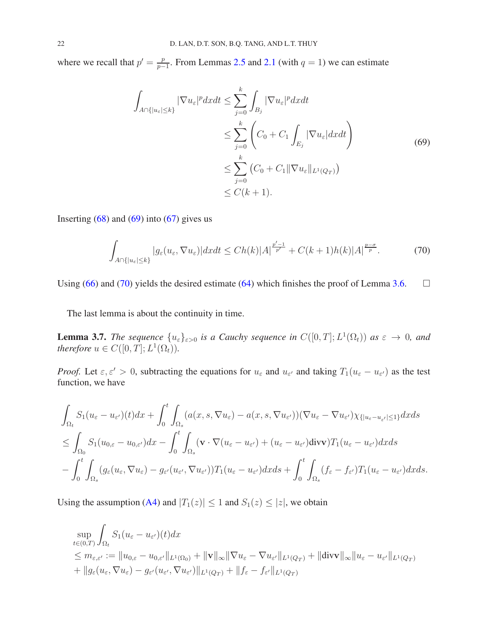where we recall that  $p' = \frac{p}{p-1}$  $\frac{p}{p-1}$ . From Lemmas [2.5](#page-11-3) and [2.1](#page-5-2) (with  $q=1$ ) we can estimate

<span id="page-21-0"></span>
$$
\int_{A \cap \{|u_{\varepsilon}| \le k\}} |\nabla u_{\varepsilon}|^p dx dt \le \sum_{j=0}^k \int_{B_j} |\nabla u_{\varepsilon}|^p dx dt
$$
\n
$$
\le \sum_{j=0}^k \left( C_0 + C_1 \int_{E_j} |\nabla u_{\varepsilon}| dx dt \right)
$$
\n
$$
\le \sum_{j=0}^k \left( C_0 + C_1 \|\nabla u_{\varepsilon}\|_{L^1(Q_T)} \right)
$$
\n
$$
\le C(k+1).
$$
\n(69)

Inserting  $(68)$  and  $(69)$  into  $(67)$  gives us

<span id="page-21-1"></span>
$$
\int_{A \cap \{|u_{\varepsilon}| \le k\}} |g_{\varepsilon}(u_{\varepsilon}, \nabla u_{\varepsilon})| dx dt \le Ch(k) |A|^{\frac{p'-1}{p'}} + C(k+1)h(k) |A|^{\frac{p-\sigma}{p}}.
$$
 (70)

Using [\(66\)](#page-20-3) and [\(70\)](#page-21-1) yields the desired estimate [\(64\)](#page-20-4) which finishes the proof of Lemma [3.6.](#page-20-5)  $\Box$ 

The last lemma is about the continuity in time.

<span id="page-21-2"></span>**Lemma 3.7.** The sequence  $\{u_{\varepsilon}\}_{{\varepsilon}>0}$  is a Cauchy sequence in  $C([0,T];L^1(\Omega_t))$  as  ${\varepsilon} \to 0$ , and *therefore*  $u \in C([0, T]; L^1(\Omega_t))$ .

*Proof.* Let  $\varepsilon, \varepsilon' > 0$ , subtracting the equations for  $u_{\varepsilon}$  and  $u_{\varepsilon'}$  and taking  $T_1(u_{\varepsilon} - u_{\varepsilon'})$  as the test function, we have

$$
\int_{\Omega_t} S_1(u_{\varepsilon} - u_{\varepsilon'}) (t) dx + \int_0^t \int_{\Omega_s} (a(x, s, \nabla u_{\varepsilon}) - a(x, s, \nabla u_{\varepsilon'})) (\nabla u_{\varepsilon} - \nabla u_{\varepsilon'}) \chi_{\{|u_{\varepsilon} - u_{\varepsilon'}| \le 1\}} dx ds
$$
\n
$$
\leq \int_{\Omega_0} S_1(u_{0,\varepsilon} - u_{0,\varepsilon'}) dx - \int_0^t \int_{\Omega_s} (\mathbf{v} \cdot \nabla (u_{\varepsilon} - u_{\varepsilon'}) + (u_{\varepsilon} - u_{\varepsilon'}) \text{div} \mathbf{v}) T_1(u_{\varepsilon} - u_{\varepsilon'}) dx ds
$$
\n
$$
- \int_0^t \int_{\Omega_s} (g_{\varepsilon}(u_{\varepsilon}, \nabla u_{\varepsilon}) - g_{\varepsilon'}(u_{\varepsilon'}, \nabla u_{\varepsilon'})) T_1(u_{\varepsilon} - u_{\varepsilon'}) dx ds + \int_0^t \int_{\Omega_s} (f_{\varepsilon} - f_{\varepsilon'}) T_1(u_{\varepsilon} - u_{\varepsilon'}) dx ds.
$$

Using the assumption [\(A4\)](#page-1-1) and  $|T_1(z)| \le 1$  and  $S_1(z) \le |z|$ , we obtain

$$
\sup_{t \in (0,T)} \int_{\Omega_t} S_1(u_{\varepsilon} - u_{\varepsilon'}) (t) dx
$$
\n
$$
\leq m_{\varepsilon,\varepsilon'} := \|u_{0,\varepsilon} - u_{0,\varepsilon'}\|_{L^1(\Omega_0)} + \|\mathbf{v}\|_{\infty} \|\nabla u_{\varepsilon} - \nabla u_{\varepsilon'}\|_{L^1(Q_T)} + \|div \|\mathbf{v}\|_{\infty} \|u_{\varepsilon} - u_{\varepsilon'}\|_{L^1(Q_T)}
$$
\n
$$
+ \|g_{\varepsilon}(u_{\varepsilon}, \nabla u_{\varepsilon}) - g_{\varepsilon'}(u_{\varepsilon'}, \nabla u_{\varepsilon'})\|_{L^1(Q_T)} + \|f_{\varepsilon} - f_{\varepsilon'}\|_{L^1(Q_T)}
$$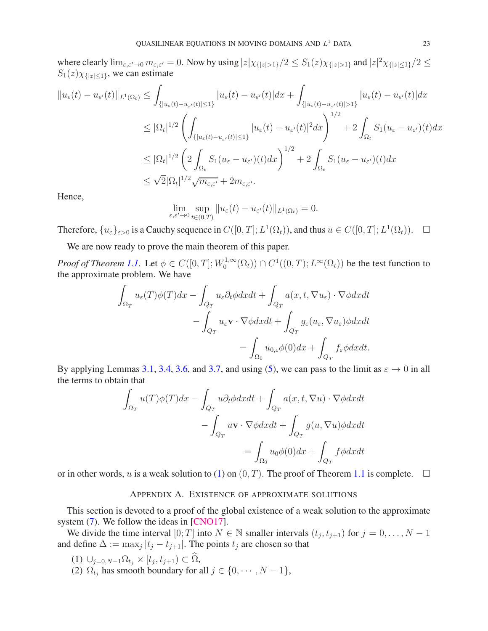where clearly  $\lim_{\varepsilon,\varepsilon'\to 0} m_{\varepsilon,\varepsilon'} = 0$ . Now by using  $|z|\chi_{\{|z|>1\}}/2 \leq S_1(z)\chi_{\{|z|>1\}}$  and  $|z|^2\chi_{\{|z|\leq 1\}}/2 \leq$  $S_1(z)\chi_{\{|z| \leq 1\}}$ , we can estimate

$$
||u_{\varepsilon}(t) - u_{\varepsilon'}(t)||_{L^{1}(\Omega_{t})} \leq \int_{\{|u_{\varepsilon}(t) - u_{\varepsilon'}(t)| \leq 1\}} |u_{\varepsilon}(t) - u_{\varepsilon'}(t)| dx + \int_{\{|u_{\varepsilon}(t) - u_{\varepsilon'}(t)| > 1\}} |u_{\varepsilon}(t) - u_{\varepsilon'}(t)| dx
$$
  

$$
\leq |\Omega_{t}|^{1/2} \left( \int_{\{|u_{\varepsilon}(t) - u_{\varepsilon'}(t)| \leq 1\}} |u_{\varepsilon}(t) - u_{\varepsilon'}(t)|^{2} dx \right)^{1/2} + 2 \int_{\Omega_{t}} S_{1}(u_{\varepsilon} - u_{\varepsilon'})(t) dx
$$
  

$$
\leq |\Omega_{t}|^{1/2} \left( 2 \int_{\Omega_{t}} S_{1}(u_{\varepsilon} - u_{\varepsilon'})(t) dx \right)^{1/2} + 2 \int_{\Omega_{t}} S_{1}(u_{\varepsilon} - u_{\varepsilon'})(t) dx
$$
  

$$
\leq \sqrt{2} |\Omega_{t}|^{1/2} \sqrt{m_{\varepsilon, \varepsilon'}} + 2 m_{\varepsilon, \varepsilon'}.
$$

Hence,

$$
\lim_{\varepsilon,\varepsilon'\to 0}\sup_{t\in(0,T)}\|u_{\varepsilon}(t)-u_{\varepsilon'}(t)\|_{L^1(\Omega_t)}=0.
$$

Therefore,  $\{u_{\varepsilon}\}_{{\varepsilon}>0}$  is a Cauchy sequence in  $C([0,T]; L^1(\Omega_t))$ , and thus  $u \in C([0,T]; L^1(\Omega_t))$ .  $\Box$ 

We are now ready to prove the main theorem of this paper.

*Proof of Theorem [1.1.](#page-3-1)* Let  $\phi \in C([0, T]; W_0^{1, \infty})$  $\mathcal{O}_0^{(1,\infty)}(\Omega_t) \cap C^1((0,T); L^{\infty}(\Omega_t))$  be the test function to the approximate problem. We have

$$
\int_{\Omega_T} u_{\varepsilon}(T)\phi(T)dx - \int_{Q_T} u_{\varepsilon}\partial_t\phi dxdt + \int_{Q_T} a(x, t, \nabla u_{\varepsilon}) \cdot \nabla \phi dxdt \n- \int_{Q_T} u_{\varepsilon} \mathbf{v} \cdot \nabla \phi dxdt + \int_{Q_T} g_{\varepsilon}(u_{\varepsilon}, \nabla u_{\varepsilon})\phi dxdt \n= \int_{\Omega_0} u_{0,\varepsilon}\phi(0)dx + \int_{Q_T} f_{\varepsilon}\phi dxdt.
$$

By applying Lemmas [3.1,](#page-14-2) [3.4,](#page-18-3) [3.6,](#page-20-5) and [3.7,](#page-21-2) and using [\(5\)](#page-4-3), we can pass to the limit as  $\varepsilon \to 0$  in all the terms to obtain that

$$
\int_{\Omega_T} u(T)\phi(T)dx - \int_{Q_T} u\partial_t\phi dxdt + \int_{Q_T} a(x, t, \nabla u) \cdot \nabla \phi dxdt
$$

$$
- \int_{Q_T} u\mathbf{v} \cdot \nabla \phi dxdt + \int_{Q_T} g(u, \nabla u)\phi dxdt
$$

$$
= \int_{\Omega_0} u_0\phi(0)dx + \int_{Q_T} f\phi dxdt
$$

<span id="page-22-0"></span>or in other words, u is a weak solution to [\(1\)](#page-1-4) on  $(0, T)$ . The proof of Theorem [1.1](#page-3-1) is complete.  $\Box$ 

### APPENDIX A. EXISTENCE OF APPROXIMATE SOLUTIONS

This section is devoted to a proof of the global existence of a weak solution to the approximate system [\(7\)](#page-4-0). We follow the ideas in [\[CNO17\]](#page-29-17).

We divide the time interval  $[0; T]$  into  $N \in \mathbb{N}$  smaller intervals  $(t_j, t_{j+1})$  for  $j = 0, ..., N - 1$ and define  $\Delta := \max_j |t_j - t_{j+1}|$ . The points  $t_j$  are chosen so that

- $(1)$   $\cup_{j=0,N-1} \Omega_{t_j} \times [t_j,t_{j+1}) \subset \Omega,$
- (2)  $\Omega_{t_j}$  has smooth boundary for all  $j \in \{0, \dots, N-1\}$ ,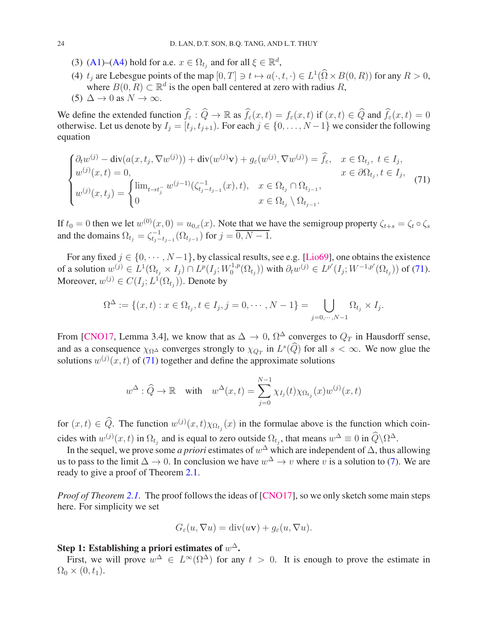- (3) [\(A1\)](#page-1-0)–[\(A4\)](#page-1-1) hold for a.e.  $x \in \Omega_{t_j}$  and for all  $\xi \in \mathbb{R}^d$ ,
- (4)  $t_j$  are Lebesgue points of the map  $[0, T] \ni t \mapsto a(\cdot, t, \cdot) \in L^1(\Omega \times B(0, R))$  for any  $R > 0$ , where  $B(0, R) \subset \mathbb{R}^d$  is the open ball centered at zero with radius R, (5)  $\Delta \to 0$  as  $N \to \infty$ .

We define the extended function  $\hat{f}_{\epsilon} : \hat{Q} \to \mathbb{R}$  as  $\hat{f}_{\epsilon}(x, t) = f_{\epsilon}(x, t)$  if  $(x, t) \in \hat{Q}$  and  $\hat{f}_{\epsilon}(x, t) = 0$ otherwise. Let us denote by  $I_j = [t_j, t_{j+1})$ . For each  $j \in \{0, ..., N-1\}$  we consider the following equation

<span id="page-23-0"></span>
$$
\begin{cases}\n\partial_t w^{(j)} - \text{div}(a(x, t_j, \nabla w^{(j)})) + \text{div}(w^{(j)}\mathbf{v}) + g_{\varepsilon}(w^{(j)}, \nabla w^{(j)}) = \hat{f}_{\varepsilon}, & x \in \Omega_{t_j}, \ t \in I_j, \\
w^{(j)}(x, t) = 0, & x \in \partial\Omega_{t_j}, t \in I_j, \\
w^{(j)}(x, t_j) = \begin{cases}\n\lim_{t \to t_j^{-}} w^{(j-1)}(\zeta_{t_j - t_{j-1}}(x), t), & x \in \Omega_{t_j} \cap \Omega_{t_{j-1}}, \\
0 & x \in \Omega_{t_j} \setminus \Omega_{t_{j-1}}.\n\end{cases} (71)\n\end{cases}
$$

If  $t_0 = 0$  then we let  $w^{(0)}(x, 0) = u_{0,\varepsilon}(x)$ . Note that we have the semigroup property  $\zeta_{t+s} = \zeta_t \circ \zeta_s$ and the domains  $\Omega_{t_j} = \zeta_{t_j-t_{j-1}}^{-1}(\Omega_{t_{j-1}})$  for  $j = \overline{0, N-1}$ .

For any fixed  $j \in \{0, \dots, N-1\}$ , by classical results, see e.g. [\[Lio69\]](#page-29-24), one obtains the existence of a solution  $w^{(j)} \in L^1(\Omega_{t_j} \times I_j) \cap L^p(I_j; W_0^{1,p})$  $(L_0^{1,p}(\Omega_{t_j}))$  with  $\partial_t w^{(j)} \in L^{p'}(I_j; W^{-1,p'}(\Omega_{t_j}))$  of [\(71\)](#page-23-0). Moreover,  $w^{(j)} \in C(I_j; L^1(\Omega_{t_j}))$ . Denote by

$$
\Omega^{\Delta} := \{ (x, t) : x \in \Omega_{t_j}, t \in I_j, j = 0, \cdots, N - 1 \} = \bigcup_{j = 0, \cdots, N - 1} \Omega_{t_j} \times I_j.
$$

From [\[CNO17,](#page-29-17) Lemma 3.4], we know that as  $\Delta \to 0$ ,  $\Omega^{\Delta}$  converges to  $Q_T$  in Hausdorff sense, and as a consequence  $\chi_{\Omega}$  converges strongly to  $\chi_{Q_T}$  in  $L^s(Q)$  for all  $s < \infty$ . We now glue the solutions  $w^{(j)}(x,t)$  of [\(71\)](#page-23-0) together and define the approximate solutions

$$
w^{\Delta}: \widehat{Q} \to \mathbb{R} \quad \text{with} \quad w^{\Delta}(x,t) = \sum_{j=0}^{N-1} \chi_{I_j}(t) \chi_{\Omega_{t_j}}(x) w^{(j)}(x,t)
$$

for  $(x, t) \in Q$ . The function  $w^{(j)}(x, t) \chi_{\Omega_{t_j}}(x)$  in the formulae above is the function which coincides with  $w^{(j)}(x,t)$  in  $\Omega_{t_j}$  and is equal to zero outside  $\Omega_{t_j}$ , that means  $w^{\Delta} \equiv 0$  in  $\hat{Q} \backslash \Omega^{\Delta}$ .

In the sequel, we prove some *a priori* estimates of  $w^{\Delta}$  which are independent of  $\Delta$ , thus allowing us to pass to the limit  $\Delta \to 0$ . In conclusion we have  $w^{\Delta} \to v$  where v is a solution to [\(7\)](#page-4-0). We are ready to give a proof of Theorem [2.1.](#page-5-3)

*Proof of Theorem [2.1.](#page-5-3)* The proof follows the ideas of [\[CNO17\]](#page-29-17), so we only sketch some main steps here. For simplicity we set

$$
G_{\varepsilon}(u,\nabla u) = \text{div}(u\mathbf{v}) + g_{\varepsilon}(u,\nabla u).
$$

# Step 1: Establishing a priori estimates of  $w^\Delta$ .

First, we will prove  $w^{\Delta} \in L^{\infty}(\Omega^{\Delta})$  for any  $t > 0$ . It is enough to prove the estimate in  $\Omega_0 \times (0, t_1)$ .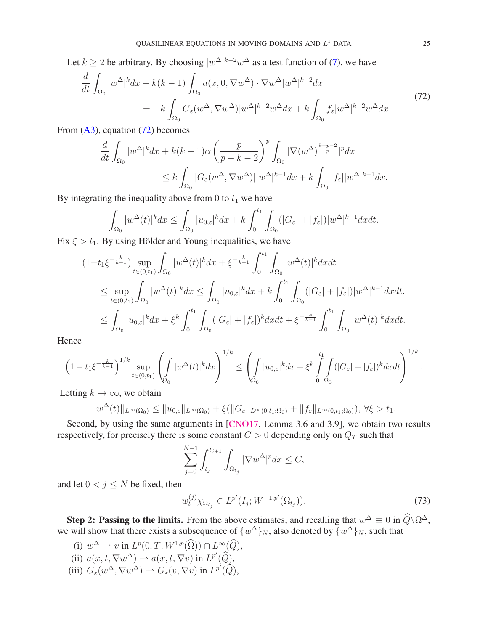Let  $k \ge 2$  be arbitrary. By choosing  $|w^{\Delta}|^{k-2}w^{\Delta}$  as a test function of [\(7\)](#page-4-0), we have

<span id="page-24-0"></span>
$$
\frac{d}{dt} \int_{\Omega_0} |w^{\Delta}|^k dx + k(k-1) \int_{\Omega_0} a(x, 0, \nabla w^{\Delta}) \cdot \nabla w^{\Delta} |w^{\Delta}|^{k-2} dx
$$
\n
$$
= -k \int_{\Omega_0} G_{\varepsilon}(w^{\Delta}, \nabla w^{\Delta}) |w^{\Delta}|^{k-2} w^{\Delta} dx + k \int_{\Omega_0} f_{\varepsilon} |w^{\Delta}|^{k-2} w^{\Delta} dx. \tag{72}
$$

From  $(A3)$ , equation  $(72)$  becomes

$$
\frac{d}{dt} \int_{\Omega_0} |w^{\Delta}|^k dx + k(k-1)\alpha \left(\frac{p}{p+k-2}\right)^p \int_{\Omega_0} |\nabla(w^{\Delta})^{\frac{k+p-2}{p}}|^p dx
$$
  

$$
\leq k \int_{\Omega_0} |G_{\varepsilon}(w^{\Delta}, \nabla w^{\Delta})| |w^{\Delta}|^{k-1} dx + k \int_{\Omega_0} |f_{\varepsilon}| |w^{\Delta}|^{k-1} dx.
$$

By integrating the inequality above from 0 to  $t_1$  we have

$$
\int_{\Omega_0} |w^{\Delta}(t)|^k dx \le \int_{\Omega_0} |u_{0,\varepsilon}|^k dx + k \int_0^{t_1} \int_{\Omega_0} (|G_{\varepsilon}| + |f_{\varepsilon}|) |w^{\Delta}|^{k-1} dx dt.
$$

Fix  $\xi > t_1$ . By using Hölder and Young inequalities, we have

$$
(1-t_1\xi^{-\frac{k}{k-1}})\sup_{t\in(0,t_1)}\int_{\Omega_0}|w^{\Delta}(t)|^kdx+\xi^{-\frac{k}{k-1}}\int_0^{t_1}\int_{\Omega_0}|w^{\Delta}(t)|^kdxdt
$$
  
\n
$$
\leq \sup_{t\in(0,t_1)}\int_{\Omega_0}|w^{\Delta}(t)|^kdx\leq \int_{\Omega_0}|u_{0,\varepsilon}|^kdx+k\int_0^{t_1}\int_{\Omega_0}(|G_{\varepsilon}|+|f_{\varepsilon}|)|w^{\Delta}|^{k-1}dxdt.
$$
  
\n
$$
\leq \int_{\Omega_0}|u_{0,\varepsilon}|^kdx+\xi^k\int_0^{t_1}\int_{\Omega_0}(|G_{\varepsilon}|+|f_{\varepsilon}|)^kdxdt+\xi^{-\frac{k}{k-1}}\int_0^{t_1}\int_{\Omega_0}|w^{\Delta}(t)|^kdxdt.
$$

Hence

$$
\left(1-t_1\xi^{-\frac{k}{k-1}}\right)^{1/k}\sup_{t\in(0,t_1)}\left(\int_{\Omega_0}|w^{\Delta}(t)|^kdx\right)^{1/k}\leq \left(\int_{\Omega_0}|u_{0,\varepsilon}|^kdx+\xi^k\int_0^{t_1}\int_{\Omega_0}(|G_{\varepsilon}|+|f_{\varepsilon}|)^kdxdt\right)^{1/k}.
$$

Letting  $k \to \infty$ , we obtain

$$
||w^{\Delta}(t)||_{L^{\infty}(\Omega_0)} \le ||u_{0,\varepsilon}||_{L^{\infty}(\Omega_0)} + \xi(||G_{\varepsilon}||_{L^{\infty}(0,t_1;\Omega_0)} + ||f_{\varepsilon}||_{L^{\infty}(0,t_1;\Omega_0)}), \forall \xi > t_1.
$$

Second, by using the same arguments in [\[CNO17,](#page-29-17) Lemma 3.6 and 3.9], we obtain two results respectively, for precisely there is some constant  $C > 0$  depending only on  $Q_T$  such that

$$
\sum_{j=0}^{N-1} \int_{t_j}^{t_{j+1}} \int_{\Omega_{t_j}} |\nabla w^{\Delta}|^p dx \le C,
$$

and let  $0 < j \leq N$  be fixed, then

$$
w_t^{(j)} \chi_{\Omega_{t_j}} \in L^{p'}(I_j; W^{-1,p'}(\Omega_{t_j})).
$$
\n(73)

Step 2: Passing to the limits. From the above estimates, and recalling that  $w^{\Delta} \equiv 0$  in  $\hat{Q} \backslash \Omega^{\Delta}$ , we will show that there exists a subsequence of  $\{w^{\Delta}\}_N$ , also denoted by  $\{w^{\Delta}\}_N$ , such that

(i)  $w^{\Delta} \rightharpoonup v$  in  $L^p(0,T;W^{1,p}(\Omega)) \cap L^{\infty}(Q)$ , (ii)  $a(x, t, \nabla w^{\Delta}) \rightharpoonup a(x, t, \nabla v)$  in  $L^{p'}(\widehat{Q})$ , (iii)  $G_{\varepsilon}(w^{\Delta}, \nabla w^{\Delta}) \rightharpoonup G_{\varepsilon}(v, \nabla v)$  in  $L^{p'}(\widehat{Q}),$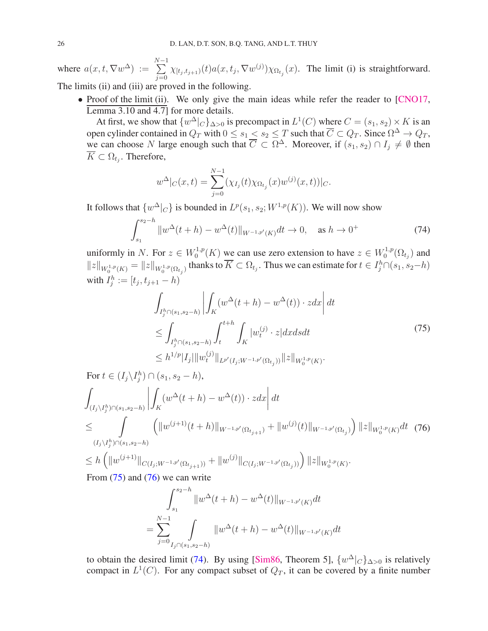where  $a(x, t, \nabla w^{\Delta}) := \sum_{k=0}^{N-1}$  $\sum_{j=0} \chi_{[t_j,t_{j+1})}(t) a(x,t_j,\nabla w^{(j)}) \chi_{\Omega_{t_j}}(x)$ . The limit (i) is straightforward.

The limits (ii) and (iii) are proved in the following.

• Proof of the limit (ii). We only give the main ideas while refer the reader to [\[CNO17,](#page-29-17) Lemma 3.10 and 4.7] for more details.

At first, we show that  $\{w^{\Delta}|_C\}_{\Delta>0}$  is precompact in  $L^1(C)$  where  $C = (s_1, s_2) \times K$  is an open cylinder contained in  $Q_T$  with  $0 \le s_1 \le s_2 \le T$  such that  $\overline{C} \subset Q_T$ . Since  $\Omega^{\Delta} \to Q_T$ , we can choose N large enough such that  $\overline{C} \subset \Omega^{\Delta}$ . Moreover, if  $(s_1, s_2) \cap I_j \neq \emptyset$  then  $K \subset \Omega_{t_j}$ . Therefore,

$$
w^{\Delta}|_{C}(x,t) = \sum_{j=0}^{N-1} (\chi_{I_j}(t)\chi_{\Omega_{t_j}}(x)w^{(j)}(x,t))|_{C}.
$$

It follows that  $\{w^{\Delta}|_C\}$  is bounded in  $L^p(s_1, s_2; W^{1,p}(K))$ . We will now show

<span id="page-25-2"></span>
$$
\int_{s_1}^{s_2 - h} \|w^{\Delta}(t + h) - w^{\Delta}(t)\|_{W^{-1, p'}(K)} dt \to 0, \quad \text{as } h \to 0^+ \tag{74}
$$

uniformly in N. For  $z \in W_0^{1,p}$  $\sum_{0}^{1,p}(K)$  we can use zero extension to have  $z \in W_0^{1,p}$  $\mathcal{O}^{1,p}(\Omega_{t_j})$  and  $||z||_{W_0^{1,p}(K)} = ||z||_{W_0^{1,p}(\Omega_{t_j})}$  thanks to  $\overline{K} \subset \Omega_{t_j}$ . Thus we can estimate for  $t \in I_j^h \cap (s_1,s_2-h)$ with  $I_j^h := [t_j, t_{j+1} - h)$ 

<span id="page-25-0"></span>
$$
\int_{I_j^h \cap (s_1, s_2 - h)} \left| \int_K (w^\Delta(t + h) - w^\Delta(t)) \cdot z dx \right| dt
$$
\n
$$
\leq \int_{I_j^h \cap (s_1, s_2 - h)} \int_t^{t + h} \int_K |w_t^{(j)} \cdot z| dx ds dt
$$
\n
$$
\leq h^{1/p} |I_j| \|w_t^{(j)}\|_{L^{p'}(I_j; W^{-1, p'}(\Omega_{t_j}))} \|z\|_{W_0^{1, p}(K)}.
$$
\n(75)

<span id="page-25-1"></span>For 
$$
t \in (I_j \setminus I_j^h) \cap (s_1, s_2 - h)
$$
,  
\n
$$
\int_{(I_j \setminus I_j^h) \cap (s_1, s_2 - h)} \left| \int_K (w^{\Delta}(t + h) - w^{\Delta}(t)) \cdot z dx \right| dt
$$
\n
$$
\leq \int_{(I_j \setminus I_j^h) \cap (s_1, s_2 - h)} \left( \|w^{(j+1)}(t + h)\|_{W^{-1,p'}(\Omega_{t_{j+1}})} + \|w^{(j)}(t)\|_{W^{-1,p'}(\Omega_{t_j})} \right) \|z\|_{W_0^{1,p}(K)} dt \quad (76)
$$
\n
$$
\leq h \left( \|w^{(j+1)}\|_{C(I_j; W^{-1,p'}(\Omega_{t_{j+1}}))} + \|w^{(j)}\|_{C(I_j; W^{-1,p'}(\Omega_{t_j}))} \right) \|z\|_{W_0^{1,p}(K)}.
$$

From  $(75)$  and  $(76)$  we can write

$$
\int_{s_1}^{s_2 - h} \|w^{\Delta}(t+h) - w^{\Delta}(t)\|_{W^{-1,p'}(K)} dt
$$
  
= 
$$
\sum_{j=0}^{N-1} \int_{I_j \cap (s_1, s_2 - h)} \|w^{\Delta}(t+h) - w^{\Delta}(t)\|_{W^{-1,p'}(K)} dt
$$

to obtain the desired limit [\(74\)](#page-25-2). By using [\[Sim86,](#page-29-25) Theorem 5],  $\{w^{\Delta}|_C\}_{\Delta>0}$  is relatively compact in  $L^1(C)$ . For any compact subset of  $Q_T$ , it can be covered by a finite number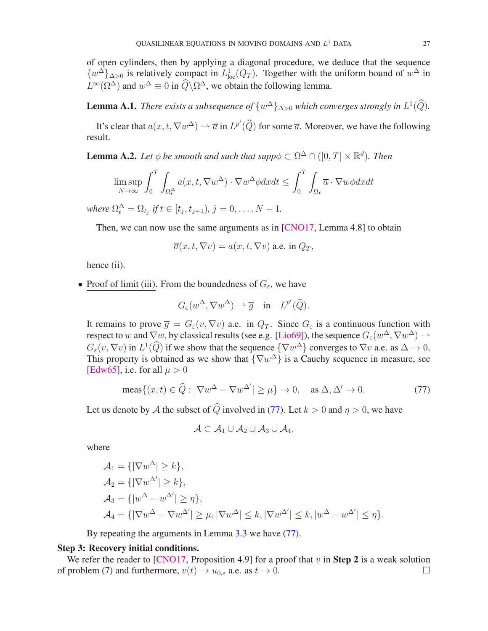of open cylinders, then by applying a diagonal procedure, we deduce that the sequence  $\{w^{\Delta}\}_{{\Delta}>0}$  is relatively compact in  $L^1_{loc}(Q_T)$ . Together with the uniform bound of  $w^{\Delta}$  in  $L^{\infty}(\Omega^{\Delta})$  and  $w^{\Delta} \equiv 0$  in  $\widehat{Q} \backslash \Omega^{\Delta}$ , we obtain the following lemma.

**Lemma A.1.** *There exists a subsequence of*  $\{w^{\Delta}\}_{\Delta>0}$  *which converges strongly in*  $L^1(\tilde{Q})$ *.* 

It's clear that  $a(x, t, \nabla w^{\Delta}) \to \overline{a}$  in  $L^{p'}(\widehat{Q})$  for some  $\overline{a}$ . Moreover, we have the following result.

**Lemma A.2.** *Let*  $\phi$  *be smooth and such that supp* $\phi \subset \Omega^{\Delta} \cap ([0, T] \times \mathbb{R}^d)$ *. Then* 

$$
\limsup_{N \to \infty} \int_0^T \int_{\Omega_t^{\Delta}} a(x, t, \nabla w^{\Delta}) \cdot \nabla w^{\Delta} \phi dx dt \le \int_0^T \int_{\Omega_t} \overline{a} \cdot \nabla w \phi dx dt
$$

*where*  $\Omega_t^{\Delta} = \Omega_{t_j}$  *if*  $t \in [t_j, t_{j+1})$ *,*  $j = 0, ..., N - 1$ *.* 

Then, we can now use the same arguments as in [\[CNO17,](#page-29-17) Lemma 4.8] to obtain

$$
\overline{a}(x,t,\nabla v) = a(x,t,\nabla v)
$$
 a.e. in  $Q_T$ ,

hence (ii).

• Proof of limit (iii). From the boundedness of  $G_{\varepsilon}$ , we have

$$
G_{\varepsilon}(w^{\Delta},\nabla w^{\Delta}) \rightharpoonup \overline{g} \quad \text{in} \quad L^{p'}(\widehat{Q}).
$$

It remains to prove  $\overline{g} = G_{\varepsilon}(v, \nabla v)$  a.e. in  $Q_T$ . Since  $G_{\varepsilon}$  is a continuous function with respect to w and  $\nabla w$ , by classical results (see e.g. [\[Lio69\]](#page-29-24)), the sequence  $G_{\varepsilon}(w^{\Delta}, \nabla w^{\Delta}) \to$  $G_{\varepsilon}(v, \nabla v)$  in  $L^1(Q)$  if we show that the sequence  $\{\nabla w^{\Delta}\}\)$  converges to  $\nabla v$  a.e. as  $\Delta \to 0$ . This property is obtained as we show that  $\{\nabla w^{\Delta}\}\)$  is a Cauchy sequence in measure, see [\[Edw65\]](#page-29-26), i.e. for all  $\mu > 0$ 

<span id="page-26-0"></span>
$$
\text{meas}\{(x,t)\in\widehat{Q}:|\nabla w^{\Delta}-\nabla w^{\Delta'}|\geq\mu\}\to 0,\quad\text{as }\Delta,\Delta'\to 0. \tag{77}
$$

Let us denote by A the subset of  $\widehat{Q}$  involved in [\(77\)](#page-26-0). Let  $k > 0$  and  $\eta > 0$ , we have

$$
\mathcal{A}\subset\mathcal{A}_1\cup\mathcal{A}_2\cup\mathcal{A}_3\cup\mathcal{A}_4,
$$

where

$$
\mathcal{A}_1 = \{ |\nabla w^{\Delta}| \ge k \},
$$
  
\n
$$
\mathcal{A}_2 = \{ |\nabla w^{\Delta'}| \ge k \},
$$
  
\n
$$
\mathcal{A}_3 = \{ |w^{\Delta} - w^{\Delta'}| \ge \eta \},
$$
  
\n
$$
\mathcal{A}_4 = \{ |\nabla w^{\Delta} - \nabla w^{\Delta'}| \ge \mu, |\nabla w^{\Delta}| \le k, |\nabla w^{\Delta'}| \le k, |w^{\Delta} - w^{\Delta'}| \le \eta \}.
$$

By repeating the arguments in Lemma [3.3](#page-16-5) we have [\(77\)](#page-26-0).

### Step 3: Recovery initial conditions.

We refer the reader to [\[CNO17,](#page-29-17) Proposition 4.9] for a proof that v in **Step 2** is a weak solution of problem [\(7\)](#page-4-0) and furthermore,  $v(t) \rightarrow u_{0,\varepsilon}$  a.e. as  $t \rightarrow 0$ .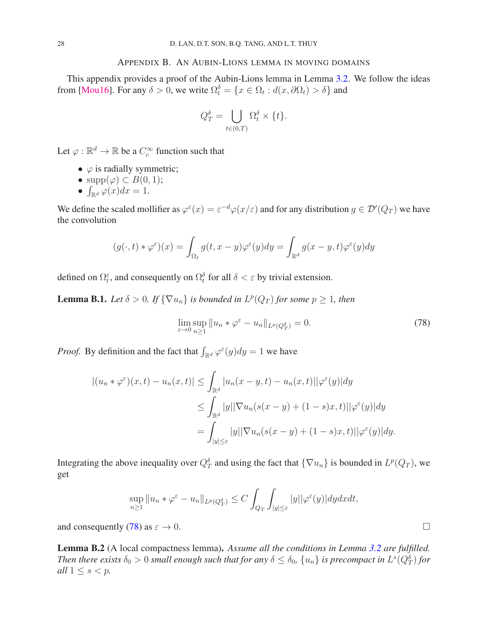### APPENDIX B. AN AUBIN-LIONS LEMMA IN MOVING DOMAINS

<span id="page-27-0"></span>This appendix provides a proof of the Aubin-Lions lemma in Lemma [3.2.](#page-14-4) We follow the ideas from [\[Mou16\]](#page-29-21). For any  $\delta > 0$ , we write  $\Omega_t^{\delta} = \{x \in \Omega_t : d(x, \partial \Omega_t) > \delta\}$  and

$$
Q_T^{\delta} = \bigcup_{t \in (0,T)} \Omega_t^{\delta} \times \{t\}.
$$

Let  $\varphi : \mathbb{R}^d \to \mathbb{R}$  be a  $C_c^{\infty}$  function such that

- $\varphi$  is radially symmetric;
- supp $(\varphi) \subset B(0,1);$
- $\int_{\mathbb{R}^d} \varphi(x) dx = 1.$

We define the scaled mollifier as  $\varphi^{\varepsilon}(x) = \varepsilon^{-d} \varphi(x/\varepsilon)$  and for any distribution  $g \in \mathcal{D}'(Q_T)$  we have the convolution

$$
(g(\cdot,t)*\varphi^{\varepsilon})(x) = \int_{\Omega_t} g(t,x-y)\varphi^{\varepsilon}(y)dy = \int_{\mathbb{R}^d} g(x-y,t)\varphi^{\varepsilon}(y)dy
$$

defined on  $\Omega_t^{\varepsilon}$ , and consequently on  $\Omega_t^{\delta}$  for all  $\delta < \varepsilon$  by trivial extension.

<span id="page-27-2"></span>**Lemma B.1.** *Let*  $\delta > 0$ *. If*  $\{\nabla u_n\}$  *is bounded in*  $L^p(Q_T)$  *for some*  $p \geq 1$ *, then* 

<span id="page-27-1"></span>
$$
\lim_{\varepsilon \to 0} \sup_{n \ge 1} \| u_n * \varphi^{\varepsilon} - u_n \|_{L^p(Q_T^{\delta})} = 0.
$$
\n(78)

*Proof.* By definition and the fact that  $\int_{\mathbb{R}^d} \varphi^{\varepsilon}(y) dy = 1$  we have

$$
\begin{aligned} |(u_n * \varphi^{\varepsilon})(x,t) - u_n(x,t)| &\leq \int_{\mathbb{R}^d} |u_n(x-y,t) - u_n(x,t)||\varphi^{\varepsilon}(y)|dy \\ &\leq \int_{\mathbb{R}^d} |y| |\nabla u_n(s(x-y) + (1-s)x,t)||\varphi^{\varepsilon}(y)|dy \\ &= \int_{|y| \leq \varepsilon} |y| |\nabla u_n(s(x-y) + (1-s)x,t)||\varphi^{\varepsilon}(y)|dy. \end{aligned}
$$

Integrating the above inequality over  $Q_T^{\delta}$  and using the fact that  $\{\nabla u_n\}$  is bounded in  $L^p(Q_T)$ , we get

$$
\sup_{n\geq 1} \|u_n*\varphi^\varepsilon-u_n\|_{L^p(Q_T^\delta)}\leq C\int_{Q_T}\int_{|y|\leq \varepsilon}|y||\varphi^\varepsilon(y)|dydxdt,
$$

and consequently [\(78\)](#page-27-1) as  $\varepsilon \to 0$ .

<span id="page-27-3"></span>Lemma B.2 (A local compactness lemma). *Assume all the conditions in Lemma [3.2](#page-14-4) are fulfilled. Then there exists*  $\delta_0 > 0$  *small enough such that for any*  $\delta \leq \delta_0$ ,  $\{u_n\}$  *is precompact in*  $L^s(Q_T^{\delta})$  *for all*  $1 \leq s < p$ *.*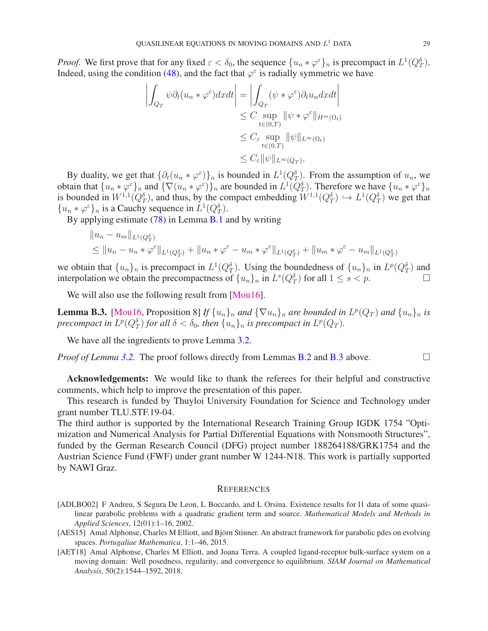*Proof.* We first prove that for any fixed  $\varepsilon < \delta_0$ , the sequence  $\{u_n * \varphi^{\varepsilon}\}\_n$  is precompact in  $L^1(Q_T^{\delta})$ . Indeed, using the condition [\(48\)](#page-14-3), and the fact that  $\varphi^{\epsilon}$  is radially symmetric we have

$$
\left| \int_{Q_T} \psi \partial_t (u_n * \varphi^{\varepsilon}) dx dt \right| = \left| \int_{Q_T} (\psi * \varphi^{\varepsilon}) \partial_t u_n dx dt \right|
$$
  
\n
$$
\leq C \sup_{t \in (0,T)} \|\psi * \varphi^{\varepsilon}\|_{H^m(\Omega_t)}
$$
  
\n
$$
\leq C_{\varepsilon} \sup_{t \in (0,T)} \|\psi\|_{L^{\infty}(\Omega_t)}
$$
  
\n
$$
\leq C_{\varepsilon} \|\psi\|_{L^{\infty}(Q_T)}.
$$

By duality, we get that  $\{\partial_t(u_n * \varphi^{\varepsilon})\}_n$  is bounded in  $L^1(Q_T^{\delta})$ . From the assumption of  $u_n$ , we obtain that  $\{u_n * \varphi^\varepsilon\}_n$  and  $\{\nabla(u_n * \varphi^\varepsilon)\}_n$  are bounded in  $L^1(Q_T^{\delta})$ . Therefore we have  $\{u_n * \varphi^\varepsilon\}_n$ is bounded in  $W^{1,1}(Q_T^{\delta})$ , and thus, by the compact embedding  $W^{1,1}(Q_T^{\delta}) \hookrightarrow L^1(Q_T^{\delta})$  we get that  $\{u_n * \varphi^{\varepsilon}\}\}\$ n is a Cauchy sequence in  $L^1(Q_T^{\delta})$ .

By applying estimate [\(78\)](#page-27-1) in Lemma [B.1](#page-27-2) and by writing

$$
||u_n - u_m||_{L^1(Q_T^{\delta})}
$$
  
\n
$$
\leq ||u_n - u_n * \varphi^{\varepsilon}||_{L^1(Q_T^{\delta})} + ||u_n * \varphi^{\varepsilon} - u_m * \varphi^{\varepsilon}||_{L^1(Q_T^{\delta})} + ||u_m * \varphi^{\varepsilon} - u_m||_{L^1(Q_T^{\delta})}
$$

we obtain that  $\{u_n\}_n$  is precompact in  $L^1(Q_T^{\delta})$ . Using the boundedness of  $\{u_n\}_n$  in  $L^p(Q_T^{\delta})$  and interpolation we obtain the precompactness of  $\{u_n\}_n$  in  $L^s(Q_T^{\delta})$  for all  $1 \leq s < p$ .

We will also use the following result from [\[Mou16\]](#page-29-21).

<span id="page-28-3"></span>**Lemma B.3.** [\[Mou16,](#page-29-21) Proposition 8] *If*  $\{u_n\}_n$  *and*  $\{\nabla u_n\}_n$  *are bounded in*  $L^p(Q_T)$  *and*  $\{u_n\}_n$  *is precompact in*  $L^p(Q_T^{\delta})$  *for all*  $\delta < \delta_0$ , then  $\{u_n\}_n$  is precompact in  $L^p(Q_T)$ .

We have all the ingredients to prove Lemma [3.2.](#page-14-4)

*Proof of Lemma* [3.2.](#page-14-4) The proof follows directly from Lemmas [B.2](#page-27-3) and [B.3](#page-28-3) above.

Acknowledgements: We would like to thank the referees for their helpful and constructive comments, which help to improve the presentation of this paper.

This research is funded by Thuyloi University Foundation for Science and Technology under grant number TLU.STF.19-04.

The third author is supported by the International Research Training Group IGDK 1754 "Optimization and Numerical Analysis for Partial Differential Equations with Nonsmooth Structures", funded by the German Research Council (DFG) project number 188264188/GRK1754 and the Austrian Science Fund (FWF) under grant number W 1244-N18. This work is partially supported by NAWI Graz.

#### **REFERENCES**

- <span id="page-28-0"></span>[ADLBO02] F Andreu, S Segura De Leon, L Boccardo, and L Orsina. Existence results for l1 data of some quasilinear parabolic problems with a quadratic gradient term and source. *Mathematical Models and Methods in Applied Sciences*, 12(01):1–16, 2002.
- <span id="page-28-1"></span>[AES15] Amal Alphonse, Charles M Elliott, and Björn Stinner. An abstract framework for parabolic pdes on evolving spaces. *Portugaliae Mathematica*, 1:1–46, 2015.
- <span id="page-28-2"></span>[AET18] Amal Alphonse, Charles M Elliott, and Joana Terra. A coupled ligand-receptor bulk-surface system on a moving domain: Well posedness, regularity, and convergence to equilibrium. *SIAM Journal on Mathematical Analysis*, 50(2):1544–1592, 2018.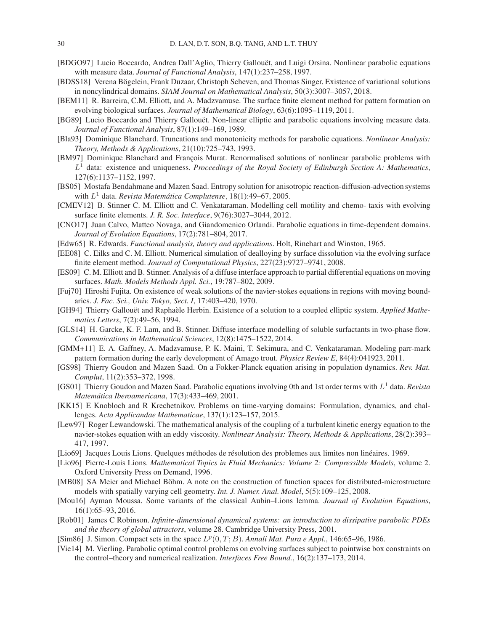- <span id="page-29-12"></span>[BDGO97] Lucio Boccardo, Andrea Dall'Aglio, Thierry Gallouët, and Luigi Orsina. Nonlinear parabolic equations with measure data. *Journal of Functional Analysis*, 147(1):237–258, 1997.
- <span id="page-29-18"></span>[BDSS18] Verena Bögelein, Frank Duzaar, Christoph Scheven, and Thomas Singer. Existence of variational solutions in noncylindrical domains. *SIAM Journal on Mathematical Analysis*, 50(3):3007–3057, 2018.
- <span id="page-29-0"></span>[BEM11] R. Barreira, C.M. Elliott, and A. Madzvamuse. The surface finite element method for pattern formation on evolving biological surfaces. *Journal of Mathematical Biology*, 63(6):1095–1119, 2011.
- <span id="page-29-11"></span>[BG89] Lucio Boccardo and Thierry Gallouët. Non-linear elliptic and parabolic equations involving measure data. *Journal of Functional Analysis*, 87(1):149–169, 1989.
- <span id="page-29-13"></span>[Bla93] Dominique Blanchard. Truncations and monotonicity methods for parabolic equations. *Nonlinear Analysis: Theory, Methods & Applications*, 21(10):725–743, 1993.
- <span id="page-29-15"></span>[BM97] Dominique Blanchard and François Murat. Renormalised solutions of nonlinear parabolic problems with L <sup>1</sup> data: existence and uniqueness. *Proceedings of the Royal Society of Edinburgh Section A: Mathematics*, 127(6):1137–1152, 1997.
- <span id="page-29-16"></span>[BS05] Mostafa Bendahmane and Mazen Saad. Entropy solution for anisotropic reaction-diffusion-advection systems with  $L^1$  data. *Revista Matemática Complutense*, 18(1):49–67, 2005.
- <span id="page-29-5"></span>[CMEV12] B. Stinner C. M. Elliott and C. Venkataraman. Modelling cell motility and chemo- taxis with evolving surface finite elements. *J. R. Soc. Interface*, 9(76):3027–3044, 2012.
- <span id="page-29-17"></span>[CNO17] Juan Calvo, Matteo Novaga, and Giandomenico Orlandi. Parabolic equations in time-dependent domains. *Journal of Evolution Equations*, 17(2):781–804, 2017.
- <span id="page-29-26"></span>[Edw65] R. Edwards. *Functional analysis, theory and applications*. Holt, Rinehart and Winston, 1965.
- <span id="page-29-3"></span>[EE08] C. Eilks and C. M. Elliott. Numerical simulation of dealloying by surface dissolution via the evolving surface finite element method. *Journal of Computational Physics*, 227(23):9727–9741, 2008.
- <span id="page-29-4"></span>[ES09] C. M. Elliott and B. Stinner. Analysis of a diffuse interface approach to partial differential equations on moving surfaces. *Math. Models Methods Appl. Sci.*, 19:787–802, 2009.
- <span id="page-29-22"></span>[Fuj70] Hiroshi Fujita. On existence of weak solutions of the navier-stokes equations in regions with moving boundaries. *J. Fac. Sci., Univ. Tokyo, Sect. I*, 17:403–420, 1970.
- <span id="page-29-7"></span>[GH94] Thierry Gallouët and Raphaèle Herbin. Existence of a solution to a coupled elliptic system. *Applied Mathematics Letters*, 7(2):49–56, 1994.
- <span id="page-29-2"></span>[GLS14] H. Garcke, K. F. Lam, and B. Stinner. Diffuse interface modelling of soluble surfactants in two-phase flow. *Communications in Mathematical Sciences*, 12(8):1475–1522, 2014.
- <span id="page-29-1"></span>[GMM+11] E. A. Gaffney, A. Madzvamuse, P. K. Maini, T. Sekimura, and C. Venkataraman. Modeling parr-mark pattern formation during the early development of Amago trout. *Physics Review E*, 84(4):041923, 2011.
- <span id="page-29-8"></span>[GS98] Thierry Goudon and Mazen Saad. On a Fokker-Planck equation arising in population dynamics. *Rev. Mat. Complut*, 11(2):353–372, 1998.
- <span id="page-29-14"></span>[GS01] Thierry Goudon and Mazen Saad. Parabolic equations involving 0th and 1st order terms with  $L^1$  data. *Revista Matematica Iberoamericana ´* , 17(3):433–469, 2001.
- <span id="page-29-6"></span>[KK15] E Knobloch and R Krechetnikov. Problems on time-varying domains: Formulation, dynamics, and challenges. *Acta Applicandae Mathematicae*, 137(1):123–157, 2015.
- <span id="page-29-9"></span>[Lew97] Roger Lewandowski. The mathematical analysis of the coupling of a turbulent kinetic energy equation to the navier-stokes equation with an eddy viscosity. *Nonlinear Analysis: Theory, Methods & Applications*, 28(2):393– 417, 1997.
- <span id="page-29-24"></span>[Lio69] Jacques Louis Lions. Quelques méthodes de résolution des problemes aux limites non linéaires. 1969.
- <span id="page-29-10"></span>[Lio96] Pierre-Louis Lions. *Mathematical Topics in Fluid Mechanics: Volume 2: Compressible Models*, volume 2. Oxford University Press on Demand, 1996.
- <span id="page-29-19"></span>[MB08] SA Meier and Michael Böhm. A note on the construction of function spaces for distributed-microstructure models with spatially varying cell geometry. *Int. J. Numer. Anal. Model*, 5(5):109–125, 2008.
- <span id="page-29-21"></span>[Mou16] Ayman Moussa. Some variants of the classical Aubin–Lions lemma. *Journal of Evolution Equations*, 16(1):65–93, 2016.
- <span id="page-29-23"></span>[Rob01] James C Robinson. *Infinite-dimensional dynamical systems: an introduction to dissipative parabolic PDEs and the theory of global attractors*, volume 28. Cambridge University Press, 2001.
- <span id="page-29-25"></span>[Sim86] J. Simon. Compact sets in the space  $L^p(0,T;B)$ . Annali Mat. Pura e Appl., 146:65-96, 1986.
- <span id="page-29-20"></span>[Vie14] M. Vierling. Parabolic optimal control problems on evolving surfaces subject to pointwise box constraints on the control–theory and numerical realization. *Interfaces Free Bound.*, 16(2):137–173, 2014.